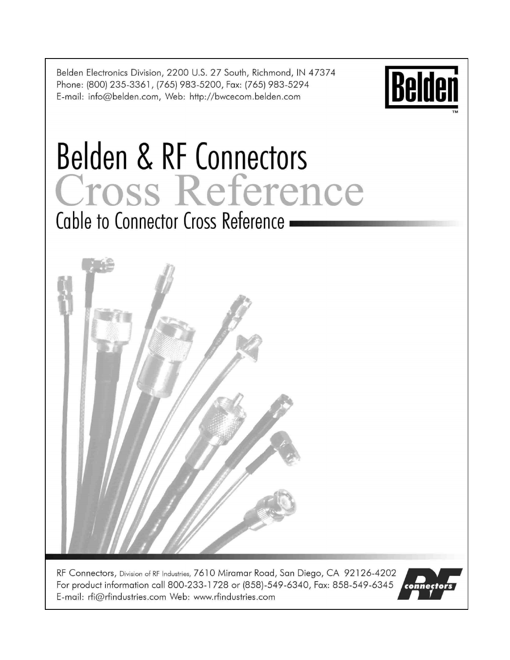Belden Electronics Division, 2200 U.S. 27 South, Richmond, IN 47374 Phone: (800) 235-3361, (765) 983-5200, Fax: (765) 983-5294 E-mail: info@belden.com, Web: http://bwcecom.belden.com



# **Belden & RF Connectors** Cross Reference Cable to Connector Cross Reference -



RF Connectors, Division of RF Industries, 7610 Miramar Road, San Diego, CA 92126-4202 For product information call 800-233-1728 or (858)-549-6340, Fax: 858-549-6345 E-mail: rfi@rfindustries.com Web: www.rfindustries.com

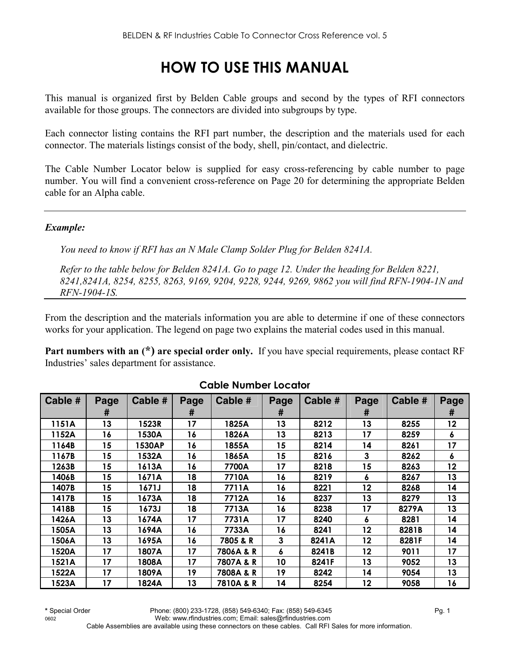# **HOW TO USE THIS MANUAL**

This manual is organized first by Belden Cable groups and second by the types of RFI connectors available for those groups. The connectors are divided into subgroups by type.

Each connector listing contains the RFI part number, the description and the materials used for each connector. The materials listings consist of the body, shell, pin/contact, and dielectric.

The Cable Number Locator below is supplied for easy cross-referencing by cable number to page number. You will find a convenient cross-reference on Page 20 for determining the appropriate Belden cable for an Alpha cable.

#### *Example:*

*You need to know if RFI has an N Male Clamp Solder Plug for Belden 8241A.* 

*Refer to the table below for Belden 8241A. Go to page 12. Under the heading for Belden 8221, 8241,8241A, 8254, 8255, 8263, 9169, 9204, 9228, 9244, 9269, 9862 you will find RFN-1904-1N and RFN-1904-1S.* 

From the description and the materials information you are able to determine if one of these connectors works for your application. The legend on page two explains the material codes used in this manual.

**Part numbers with an (\*) are special order only.** If you have special requirements, please contact RF Industries' sales department for assistance.

| Cable # | Page | Cable # | Page | Cable #   | Page | Cable # | Page    | Cable # | Page |
|---------|------|---------|------|-----------|------|---------|---------|---------|------|
|         | #    |         | #    |           | #    |         | #       |         | #    |
| 1151A   | 13   | 1523R   | 17   | 1825A     | 13   | 8212    | 13      | 8255    | 12   |
| 1152A   | 16   | 1530A   | 16   | 1826A     | 13   | 8213    | 17      | 8259    | 6    |
| 1164B   | 15   | 1530AP  | 16   | 1855A     | 15   | 8214    | 14      | 8261    | 17   |
| 1167B   | 15   | 1532A   | 16   | 1865A     | 15   | 8216    | 3       | 8262    | 6    |
| 1263B   | 15   | 1613A   | 16   | 7700A     | 17   | 8218    | 15      | 8263    | 12   |
| 1406B   | 15   | 1671A   | 18   | 7710A     | 16   | 8219    | 6       | 8267    | 13   |
| 1407B   | 15   | 1671J   | 18   | 7711A     | 16   | 8221    | 12      | 8268    | 14   |
| 1417B   | 15   | 1673A   | 18   | 7712A     | 16   | 8237    | 13      | 8279    | 13   |
| 1418B   | 15   | 1673J   | 18   | 7713A     | 16   | 8238    | 17      | 8279A   | 13   |
| 1426A   | 13   | 1674A   | 17   | 7731A     | 17   | 8240    | 6       | 8281    | 14   |
| 1505A   | 13   | 1694A   | 16   | 7733A     | 16   | 8241    | $12 \,$ | 8281B   | 14   |
| 1506A   | 13   | 1695A   | 16   | 7805 & R  | 3    | 8241A   | 12      | 8281F   | 14   |
| 1520A   | 17   | 1807A   | 17   | 7806A & R | 6    | 8241B   | $12 \,$ | 9011    | 17   |
| 1521A   | 17   | 1808A   | 17   | 7807A & R | 10   | 8241F   | 13      | 9052    | 13   |
| 1522A   | 17   | 1809A   | 19   | 7808A & R | 19   | 8242    | 14      | 9054    | 13   |
| 1523A   | 17   | 1824A   | 13   | 7810A & R | 14   | 8254    | 12      | 9058    | 16   |

#### **Cable Number Locator**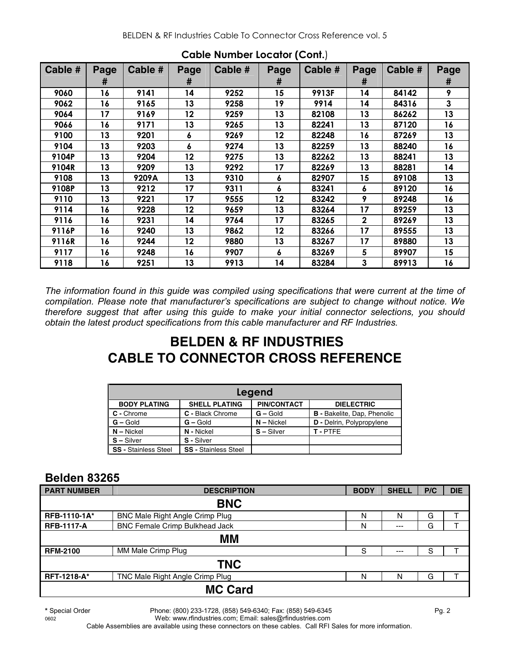| Cable # | Page | Cable # | Page | Cable # | Page | Cable # | Page        | Cable # | Page |
|---------|------|---------|------|---------|------|---------|-------------|---------|------|
|         | #    |         | #    |         | #    |         | #           |         | #    |
| 9060    | 16   | 9141    | 14   | 9252    | 15   | 9913F   | 14          | 84142   | 9    |
| 9062    | 16   | 9165    | 13   | 9258    | 19   | 9914    | 14          | 84316   | 3    |
| 9064    | 17   | 9169    | 12   | 9259    | 13   | 82108   | 13          | 86262   | 13   |
| 9066    | 16   | 9171    | 13   | 9265    | 13   | 82241   | 13          | 87120   | 16   |
| 9100    | 13   | 9201    | 6    | 9269    | 12   | 82248   | 16          | 87269   | 13   |
| 9104    | 13   | 9203    | 6    | 9274    | 13   | 82259   | 13          | 88240   | 16   |
| 9104P   | 13   | 9204    | 12   | 9275    | 13   | 82262   | 13          | 88241   | 13   |
| 9104R   | 13   | 9209    | 13   | 9292    | 17   | 82269   | 13          | 88281   | 14   |
| 9108    | 13   | 9209A   | 13   | 9310    | 6    | 82907   | 15          | 89108   | 13   |
| 9108P   | 13   | 9212    | 17   | 9311    | 6    | 83241   | 6           | 89120   | 16   |
| 9110    | 13   | 9221    | 17   | 9555    | 12   | 83242   | 9           | 89248   | 16   |
| 9114    | 16   | 9228    | 12   | 9659    | 13   | 83264   | 17          | 89259   | 13   |
| 9116    | 16   | 9231    | 14   | 9764    | 17   | 83265   | $\mathbf 2$ | 89269   | 13   |
| 9116P   | 16   | 9240    | 13   | 9862    | 12   | 83266   | 17          | 89555   | 13   |
| 9116R   | 16   | 9244    | 12   | 9880    | 13   | 83267   | 17          | 89880   | 13   |
| 9117    | 16   | 9248    | 16   | 9907    | 6    | 83269   | 5           | 89907   | 15   |
| 9118    | 16   | 9251    | 13   | 9913    | 14   | 83284   | 3           | 89913   | 16   |

**Cable Number Locator (Cont.**)

*The information found in this guide was compiled using specifications that were current at the time of compilation. Please note that manufacturer's specifications are subject to change without notice. We therefore suggest that after using this guide to make your initial connector selections, you should obtain the latest product specifications from this cable manufacturer and RF Industries.* 

# **BELDEN & RF INDUSTRIES CABLE TO CONNECTOR CROSS REFERENCE**

|                                                                                        | Legend                      |              |                                    |  |  |  |  |  |  |
|----------------------------------------------------------------------------------------|-----------------------------|--------------|------------------------------------|--|--|--|--|--|--|
| <b>PIN/CONTACT</b><br><b>BODY PLATING</b><br><b>SHELL PLATING</b><br><b>DIELECTRIC</b> |                             |              |                                    |  |  |  |  |  |  |
| C - Chrome                                                                             | C - Black Chrome            | $G -$ Gold   | <b>B</b> - Bakelite, Dap, Phenolic |  |  |  |  |  |  |
| $G - Gold$                                                                             | $G -$ Gold                  | $N - Nickel$ | D - Delrin, Polypropylene          |  |  |  |  |  |  |
| $N - Nickel$                                                                           | N - Nickel                  | $S - Silver$ | T-PTFE                             |  |  |  |  |  |  |
| $S - Silver$                                                                           | S - Silver                  |              |                                    |  |  |  |  |  |  |
| <b>SS - Stainless Steel</b>                                                            | <b>SS - Stainless Steel</b> |              |                                    |  |  |  |  |  |  |

# **Belden 83265**

| <b>PART NUMBER</b> | <b>DESCRIPTION</b>                    | <b>BODY</b> | <b>SHELL</b> | P/C | <b>DIE</b> |
|--------------------|---------------------------------------|-------------|--------------|-----|------------|
|                    | <b>BNC</b>                            |             |              |     |            |
| RFB-1110-1A*       | BNC Male Right Angle Crimp Plug       | Ν           | N            | G   |            |
| <b>RFB-1117-A</b>  | <b>BNC Female Crimp Bulkhead Jack</b> | N           | $---$        | G   |            |
|                    | MМ                                    |             |              |     |            |
| <b>RFM-2100</b>    | MM Male Crimp Plug                    | S           | $--$         | S   |            |
|                    | <b>TNC</b>                            |             |              |     |            |
| <b>RFT-1218-A*</b> | TNC Male Right Angle Crimp Plug       | Ν           | N            | G   |            |
|                    | <b>MC Card</b>                        |             |              |     |            |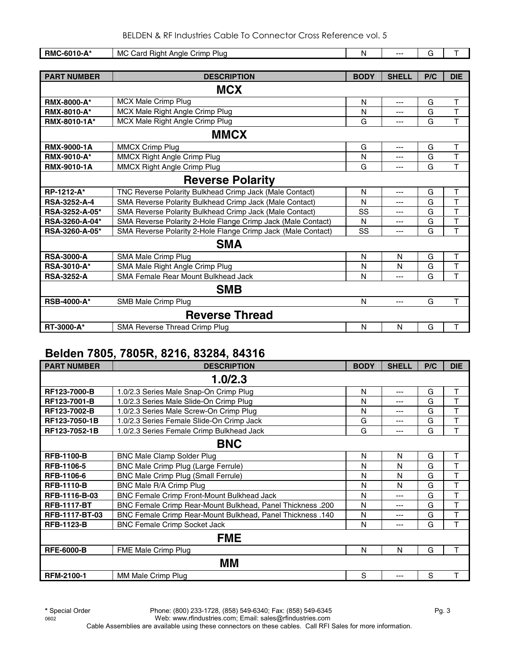| RMC-6010-A*             | MC Card Right Angle Crimp Plug                               | N           | $\overline{a}$ | G   | T.                      |  |  |  |
|-------------------------|--------------------------------------------------------------|-------------|----------------|-----|-------------------------|--|--|--|
|                         |                                                              |             |                |     |                         |  |  |  |
| <b>PART NUMBER</b>      | <b>DESCRIPTION</b>                                           | <b>BODY</b> | <b>SHELL</b>   | P/C | <b>DIE</b>              |  |  |  |
|                         | <b>MCX</b>                                                   |             |                |     |                         |  |  |  |
| <b>RMX-8000-A*</b>      | MCX Male Crimp Plug                                          | N           | ---            | G   | T                       |  |  |  |
| <b>RMX-8010-A*</b>      | MCX Male Right Angle Crimp Plug                              | N           | ---            | G   | $\overline{\mathsf{T}}$ |  |  |  |
| RMX-8010-1A*            | MCX Male Right Angle Crimp Plug                              | G           | ---            | G   | $\overline{\mathsf{T}}$ |  |  |  |
|                         | <b>MMCX</b>                                                  |             |                |     |                         |  |  |  |
| <b>RMX-9000-1A</b>      | <b>MMCX Crimp Plug</b>                                       | G           | ---            | G   | $\mathsf T$             |  |  |  |
| <b>RMX-9010-A*</b>      | MMCX Right Angle Crimp Plug                                  | N           | ---            | G   | T                       |  |  |  |
| <b>RMX-9010-1A</b>      | <b>MMCX Right Angle Crimp Plug</b>                           | G           | ---            | G   | T                       |  |  |  |
| <b>Reverse Polarity</b> |                                                              |             |                |     |                         |  |  |  |
| RP-1212-A*              | TNC Reverse Polarity Bulkhead Crimp Jack (Male Contact)      | N           | ---            | G   | T                       |  |  |  |
| RSA-3252-A-4            | SMA Reverse Polarity Bulkhead Crimp Jack (Male Contact)      | N           | ---            | G   | T                       |  |  |  |
| RSA-3252-A-05*          | SMA Reverse Polarity Bulkhead Crimp Jack (Male Contact)      | SS          | ---            | G   | T                       |  |  |  |
| RSA-3260-A-04*          | SMA Reverse Polarity 2-Hole Flange Crimp Jack (Male Contact) | N           | ---            | G   | T                       |  |  |  |
| RSA-3260-A-05*          | SMA Reverse Polarity 2-Hole Flange Crimp Jack (Male Contact) | SS          | ---            | G   | $\overline{\mathsf{T}}$ |  |  |  |
|                         | <b>SMA</b>                                                   |             |                |     |                         |  |  |  |
| <b>RSA-3000-A</b>       | SMA Male Crimp Plug                                          | N           | N              | G   | T                       |  |  |  |
| <b>RSA-3010-A*</b>      | SMA Male Right Angle Crimp Plug                              | N           | N              | G   | T                       |  |  |  |
| <b>RSA-3252-A</b>       | <b>SMA Female Rear Mount Bulkhead Jack</b>                   | N           | ---            | G   | T                       |  |  |  |
|                         | <b>SMB</b>                                                   |             |                |     |                         |  |  |  |
| <b>RSB-4000-A*</b>      | SMB Male Crimp Plug                                          | N           | ---            | G   | T                       |  |  |  |
|                         | <b>Reverse Thread</b>                                        |             |                |     |                         |  |  |  |
| RT-3000-A*              | <b>SMA Reverse Thread Crimp Plug</b>                         | N           | N              | G   | $\mathsf T$             |  |  |  |

# **Belden 7805, 7805R, 8216, 83284, 84316**

| <b>PART NUMBER</b> | <b>DESCRIPTION</b>                                         | <b>BODY</b> | <b>SHELL</b> | P/C | <b>DIE</b> |  |  |
|--------------------|------------------------------------------------------------|-------------|--------------|-----|------------|--|--|
|                    | 1.0/2.3                                                    |             |              |     |            |  |  |
| RF123-7000-B       | 1.0/2.3 Series Male Snap-On Crimp Plug                     | N           | $---$        | G   | T          |  |  |
| RF123-7001-B       | 1.0/2.3 Series Male Slide-On Crimp Plug                    | N           | $---$        | G   | T          |  |  |
| RF123-7002-B       | 1.0/2.3 Series Male Screw-On Crimp Plug                    | N           | ---          | G   | $\top$     |  |  |
| RF123-7050-1B      | 1.0/2.3 Series Female Slide-On Crimp Jack                  | G           | ---          | G   | T          |  |  |
| RF123-7052-1B      | 1.0/2.3 Series Female Crimp Bulkhead Jack                  | G           | $---$        | G   | T          |  |  |
|                    | <b>BNC</b>                                                 |             |              |     |            |  |  |
| <b>RFB-1100-B</b>  | <b>BNC Male Clamp Solder Plug</b>                          | N           | N            | G   | T          |  |  |
| <b>RFB-1106-5</b>  | BNC Male Crimp Plug (Large Ferrule)                        | N           | N            | G   | T          |  |  |
| <b>RFB-1106-6</b>  | BNC Male Crimp Plug (Small Ferrule)                        | N           | N            | G   | T          |  |  |
| <b>RFB-1110-B</b>  | BNC Male R/A Crimp Plug                                    | N           | N            | G   | T          |  |  |
| RFB-1116-B-03      | BNC Female Crimp Front-Mount Bulkhead Jack                 | N           | ---          | G   | T          |  |  |
| <b>RFB-1117-BT</b> | BNC Female Crimp Rear-Mount Bulkhead, Panel Thickness .200 | N           | $---$        | G   | T          |  |  |
| RFB-1117-BT-03     | BNC Female Crimp Rear-Mount Bulkhead, Panel Thickness .140 | N           | ---          | G   | T          |  |  |
| <b>RFB-1123-B</b>  | <b>BNC Female Crimp Socket Jack</b>                        | N           | ---          | G   | T          |  |  |
|                    | <b>FME</b>                                                 |             |              |     |            |  |  |
| <b>RFE-6000-B</b>  | FME Male Crimp Plug                                        | N           | N            | G   | T          |  |  |
|                    | MМ                                                         |             |              |     |            |  |  |
| <b>RFM-2100-1</b>  | MM Male Crimp Plug                                         | S           | ---          | S   | T          |  |  |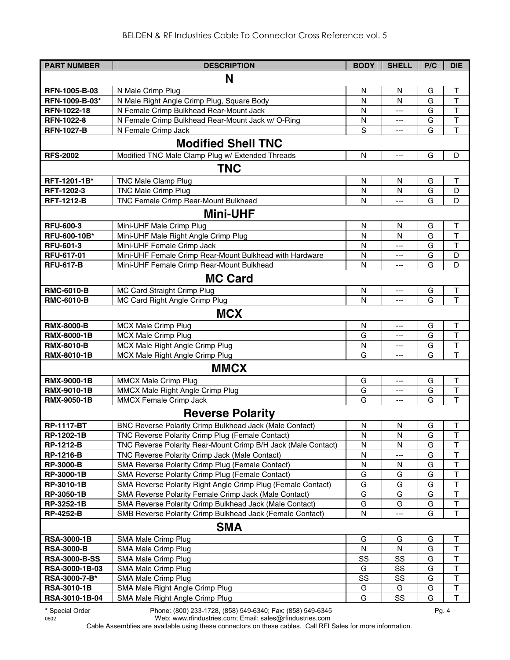| <b>PART NUMBER</b>             | <b>DESCRIPTION</b>                                                                                                | <b>BODY</b>  | <b>SHELL</b>             | P/C    | <b>DIE</b>              |
|--------------------------------|-------------------------------------------------------------------------------------------------------------------|--------------|--------------------------|--------|-------------------------|
|                                | N                                                                                                                 |              |                          |        |                         |
|                                |                                                                                                                   |              |                          |        |                         |
| RFN-1005-B-03                  | N Male Crimp Plug                                                                                                 | N            | N                        | G<br>G | Τ<br>$\mathsf{T}$       |
| RFN-1009-B-03*<br>RFN-1022-18  | N Male Right Angle Crimp Plug, Square Body<br>N Female Crimp Bulkhead Rear-Mount Jack                             | $\mathsf{N}$ | N                        | G      | $\mathsf T$             |
| RFN-1022-8                     | N Female Crimp Bulkhead Rear-Mount Jack w/ O-Ring                                                                 | N<br>N       | ---<br>$\qquad \qquad -$ | G      | $\top$                  |
| <b>RFN-1027-B</b>              | N Female Crimp Jack                                                                                               | S            | $---$                    | G      | $\overline{\mathsf{T}}$ |
|                                |                                                                                                                   |              |                          |        |                         |
|                                | <b>Modified Shell TNC</b>                                                                                         |              |                          |        |                         |
| <b>RFS-2002</b>                | Modified TNC Male Clamp Plug w/ Extended Threads                                                                  | N            | ---                      | G      | D                       |
|                                | <b>TNC</b>                                                                                                        |              |                          |        |                         |
| RFT-1201-1B*                   | <b>TNC Male Clamp Plug</b>                                                                                        | N            | N                        | G      | Τ                       |
| RFT-1202-3                     | <b>TNC Male Crimp Plug</b>                                                                                        | $\mathsf{N}$ | $\mathsf{N}$             | G      | D                       |
| <b>RFT-1212-B</b>              | TNC Female Crimp Rear-Mount Bulkhead                                                                              | $\mathsf{N}$ | ---                      | G      | D                       |
|                                | <b>Mini-UHF</b>                                                                                                   |              |                          |        |                         |
| <b>RFU-600-3</b>               | Mini-UHF Male Crimp Plug                                                                                          | N            | N                        | G      | Τ                       |
| RFU-600-10B*                   | Mini-UHF Male Right Angle Crimp Plug                                                                              | N            | N                        | G      | $\mathsf{T}$            |
| RFU-601-3                      | Mini-UHF Female Crimp Jack                                                                                        | N            | $---$                    | G      | $\mathsf{T}$            |
| RFU-617-01                     | Mini-UHF Female Crimp Rear-Mount Bulkhead with Hardware                                                           | N            | ---                      | G      | D                       |
| <b>RFU-617-B</b>               | Mini-UHF Female Crimp Rear-Mount Bulkhead                                                                         | N            | $---$                    | G      | D                       |
|                                | <b>MC Card</b>                                                                                                    |              |                          |        |                         |
| <b>RMC-6010-B</b>              | MC Card Straight Crimp Plug                                                                                       | ${\sf N}$    | ---                      | G      | $\mathsf T$             |
| <b>RMC-6010-B</b>              | MC Card Right Angle Crimp Plug                                                                                    | N            | ---                      | G      | $\overline{1}$          |
|                                | <b>MCX</b>                                                                                                        |              |                          |        |                         |
| <b>RMX-8000-B</b>              | <b>MCX Male Crimp Plug</b>                                                                                        | $\mathsf{N}$ | ---                      | G      | $\top$                  |
| <b>RMX-8000-1B</b>             | <b>MCX Male Crimp Plug</b>                                                                                        | G            | ---                      | G      | $\top$                  |
| <b>RMX-8010-B</b>              | MCX Male Right Angle Crimp Plug                                                                                   | N            | $---$                    | G      | $\mathsf T$             |
| <b>RMX-8010-1B</b>             | MCX Male Right Angle Crimp Plug                                                                                   | G            | ---                      | G      | T                       |
|                                | <b>MMCX</b>                                                                                                       |              |                          |        |                         |
| <b>RMX-9000-1B</b>             | <b>MMCX Male Crimp Plug</b>                                                                                       | G            | ---                      | G      | $\top$                  |
| RMX-9010-1B                    | MMCX Male Right Angle Crimp Plug                                                                                  | G            | ---                      | G      | $\top$                  |
| <b>RMX-9050-1B</b>             | MMCX Female Crimp Jack                                                                                            | G            | $---$                    | G      | T                       |
|                                | <b>Reverse Polarity</b>                                                                                           |              |                          |        |                         |
|                                |                                                                                                                   |              |                          |        |                         |
| <b>RP-1117-BT</b>              | BNC Reverse Polarity Crimp Bulkhead Jack (Male Contact)                                                           | N            | N                        | G      | $\top$                  |
| RP-1202-1B<br><b>RP-1212-B</b> | TNC Reverse Polarity Crimp Plug (Female Contact)<br>TNC Reverse Polarity Rear-Mount Crimp B/H Jack (Male Contact) | N<br>N       | N<br>N                   | G<br>G | Т<br>T                  |
| <b>RP-1216-B</b>               | TNC Reverse Polarity Crimp Jack (Male Contact)                                                                    | N            | ---                      | G      | $\sf T$                 |
| <b>RP-3000-B</b>               | SMA Reverse Polarity Crimp Plug (Female Contact)                                                                  | N            | N                        | G      | T                       |
| <b>RP-3000-1B</b>              | SMA Reverse Polarity Crimp Plug (Female Contact)                                                                  | G            | G                        | G      | $\top$                  |
| <b>RP-3010-1B</b>              | SMA Reverse Polarity Right Angle Crimp Plug (Female Contact)                                                      | G            | G                        | G      | $\top$                  |
| RP-3050-1B                     | SMA Reverse Polarity Female Crimp Jack (Male Contact)                                                             | G            | G                        | G      | $\top$                  |
| RP-3252-1B                     | SMA Reverse Polarity Crimp Bulkhead Jack (Male Contact)                                                           | G            | G                        | G      | $\mathsf T$             |
| <b>RP-4252-B</b>               | SMB Reverse Polarity Crimp Bulkhead Jack (Female Contact)                                                         | N            | ---                      | G      | T                       |
|                                | <b>SMA</b>                                                                                                        |              |                          |        |                         |
| <b>RSA-3000-1B</b>             | SMA Male Crimp Plug                                                                                               | G            | G                        | G      | Τ                       |
| <b>RSA-3000-B</b>              | SMA Male Crimp Plug                                                                                               | N            | N                        | G      | $\mathsf T$             |
| <b>RSA-3000-B-SS</b>           | SMA Male Crimp Plug                                                                                               | SS           | SS                       | G      | $\mathsf T$             |
| RSA-3000-1B-03                 | SMA Male Crimp Plug                                                                                               | G            | SS                       | G      | $\top$                  |
| RSA-3000-7-B*                  | SMA Male Crimp Plug                                                                                               | SS           | SS                       | G      | $\sf T$                 |
| <b>RSA-3010-1B</b>             | SMA Male Right Angle Crimp Plug                                                                                   | G            | G                        | G      | $\sf T$                 |
| RSA-3010-1B-04                 | SMA Male Right Angle Crimp Plug                                                                                   | G            | SS                       | G      | $\mathsf{T}$            |

**\*** Special Order Phone: (800) 233-1728, (858) 549-6340; Fax: (858) 549-6345 Pg. 4

0602 Web: www.rfindustries.com; Email: sales@rfindustries.com Cable Assemblies are available using these connectors on these cables. Call RFI Sales for more information.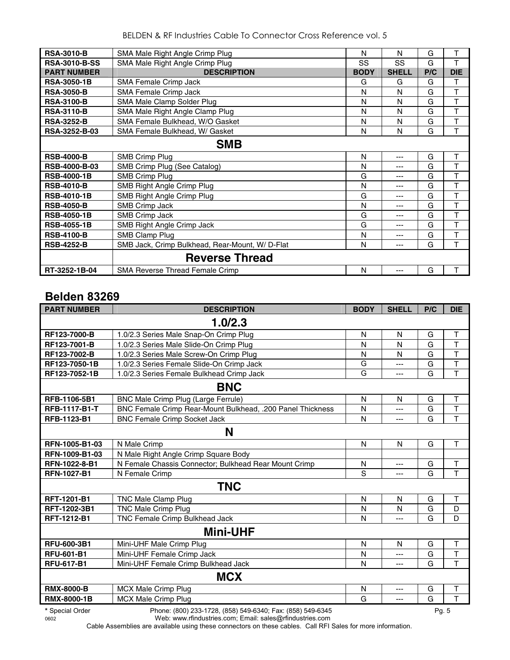BELDEN & RF Industries Cable To Connector Cross Reference vol. 5

| <b>RSA-3010-B</b>    | SMA Male Right Angle Crimp Plug                | N           | N            | G   | Т          |
|----------------------|------------------------------------------------|-------------|--------------|-----|------------|
| <b>RSA-3010-B-SS</b> | SMA Male Right Angle Crimp Plug                | SS          | <b>SS</b>    | G   | T          |
| <b>PART NUMBER</b>   | <b>DESCRIPTION</b>                             | <b>BODY</b> | <b>SHELL</b> | P/C | <b>DIE</b> |
| <b>RSA-3050-1B</b>   | SMA Female Crimp Jack                          | G           | G            | G   | Т          |
| <b>RSA-3050-B</b>    | SMA Female Crimp Jack                          | N           | N            | G   | T          |
| <b>RSA-3100-B</b>    | SMA Male Clamp Solder Plug                     | N           | N            | G   | T          |
| <b>RSA-3110-B</b>    | SMA Male Right Angle Clamp Plug                | N           | N            | G   | T          |
| <b>RSA-3252-B</b>    | SMA Female Bulkhead, W/O Gasket                | N           | N            | G   | T          |
| RSA-3252-B-03        | SMA Female Bulkhead, W/ Gasket                 | N           | N            | G   | T          |
|                      | <b>SMB</b>                                     |             |              |     |            |
| <b>RSB-4000-B</b>    | <b>SMB Crimp Plug</b>                          | N           | ---          | G   | т          |
| <b>RSB-4000-B-03</b> | SMB Crimp Plug (See Catalog)                   | N           | ---          | G   | T          |
| <b>RSB-4000-1B</b>   | <b>SMB Crimp Plug</b>                          | G           | ---          | G   | T          |
| <b>RSB-4010-B</b>    | SMB Right Angle Crimp Plug                     | N           | ---          | G   | T          |
| <b>RSB-4010-1B</b>   | SMB Right Angle Crimp Plug                     | G           | ---          | G   | T          |
| <b>RSB-4050-B</b>    | SMB Crimp Jack                                 | N           | ---          | G   | T          |
| <b>RSB-4050-1B</b>   | <b>SMB Crimp Jack</b>                          | G           | ---          | G   | T          |
| <b>RSB-4055-1B</b>   | SMB Right Angle Crimp Jack                     | G           | ---          | G   | т          |
| <b>RSB-4100-B</b>    | SMB Clamp Plug                                 | N           | ---          | G   | T          |
| <b>RSB-4252-B</b>    | SMB Jack, Crimp Bulkhead, Rear-Mount, W/D-Flat | N           | ---          | G   | T          |
|                      | <b>Reverse Thread</b>                          |             |              |     |            |
| RT-3252-1B-04        | <b>SMA Reverse Thread Female Crimp</b>         | N           | ---          | G   | T          |

# **Belden 83269**

| <b>PART NUMBER</b>   | <b>DESCRIPTION</b>                                         | <b>BODY</b> | <b>SHELL</b> | P/C   | <b>DIE</b>              |
|----------------------|------------------------------------------------------------|-------------|--------------|-------|-------------------------|
|                      | 1.0/2.3                                                    |             |              |       |                         |
| RF123-7000-B         | 1.0/2.3 Series Male Snap-On Crimp Plug                     | N           | N            | G     | T                       |
| RF123-7001-B         | 1.0/2.3 Series Male Slide-On Crimp Plug                    | N           | N            | G     | $\mathsf T$             |
| RF123-7002-B         | 1.0/2.3 Series Male Screw-On Crimp Plug                    | N           | N            | G     | $\overline{\mathsf{T}}$ |
| RF123-7050-1B        | 1.0/2.3 Series Female Slide-On Crimp Jack                  | G           | ---          | G     | $\overline{\mathsf{T}}$ |
| RF123-7052-1B        | 1.0/2.3 Series Female Bulkhead Crimp Jack                  | G           | ---          | G     | $\overline{\mathsf{T}}$ |
|                      | <b>BNC</b>                                                 |             |              |       |                         |
| RFB-1106-5B1         | BNC Male Crimp Plug (Large Ferrule)                        | N           | N            | G     | $\sf T$                 |
| <b>RFB-1117-B1-T</b> | BNC Female Crimp Rear-Mount Bulkhead, .200 Panel Thickness | N           | ---          | G     | $\overline{\mathsf{T}}$ |
| RFB-1123-B1          | <b>BNC Female Crimp Socket Jack</b>                        | N           | ---          | G     | $\overline{\mathsf{T}}$ |
|                      | N                                                          |             |              |       |                         |
| RFN-1005-B1-03       | N Male Crimp                                               | N           | $\mathsf{N}$ | G     | $\mathsf{T}$            |
| RFN-1009-B1-03       | N Male Right Angle Crimp Square Body                       |             |              |       |                         |
| RFN-1022-8-B1        | N Female Chassis Connector; Bulkhead Rear Mount Crimp      | N           | ---          | G     | $\mathsf T$             |
| <b>RFN-1027-B1</b>   | N Female Crimp                                             | S           | $---$        | G     | T                       |
|                      | <b>TNC</b>                                                 |             |              |       |                         |
| <b>RFT-1201-B1</b>   | TNC Male Clamp Plug                                        | N           | N            | G     | Т                       |
| RFT-1202-3B1         | <b>TNC Male Crimp Plug</b>                                 | N           | N            | G     | D                       |
| RFT-1212-B1          | <b>TNC Female Crimp Bulkhead Jack</b>                      | N           | ---          | G     | D                       |
|                      | <b>Mini-UHF</b>                                            |             |              |       |                         |
| RFU-600-3B1          | Mini-UHF Male Crimp Plug                                   | N           | N            | G     | T                       |
| <b>RFU-601-B1</b>    | Mini-UHF Female Crimp Jack                                 | N           | ---          | G     | $\overline{\mathsf{T}}$ |
| <b>RFU-617-B1</b>    | Mini-UHF Female Crimp Bulkhead Jack                        | N           | ---          | G     | T                       |
|                      | <b>MCX</b>                                                 |             |              |       |                         |
| <b>RMX-8000-B</b>    | <b>MCX Male Crimp Plug</b>                                 | N           | $---$        | G     | T                       |
| <b>RMX-8000-1B</b>   | <b>MCX Male Crimp Plug</b>                                 | G           | ---          | G     | $\overline{\mathsf{T}}$ |
| * Special Order      | Phone: (800) 233-1728, (858) 549-6340; Fax: (858) 549-6345 |             |              | Pg. 5 |                         |

0602 Web: www.rfindustries.com; Email: sales@rfindustries.com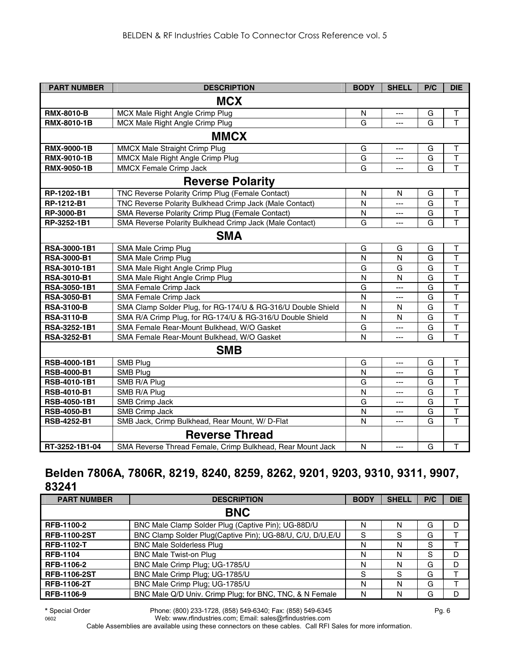| <b>PART NUMBER</b> | <b>DESCRIPTION</b>                                           | <b>BODY</b>  | <b>SHELL</b> | P/C | <b>DIE</b>              |
|--------------------|--------------------------------------------------------------|--------------|--------------|-----|-------------------------|
|                    | <b>MCX</b>                                                   |              |              |     |                         |
| <b>RMX-8010-B</b>  | MCX Male Right Angle Crimp Plug                              | N            | ---          | G   | $\top$                  |
| RMX-8010-1B        | MCX Male Right Angle Crimp Plug                              | G            | ---          | G   | $\mathsf T$             |
|                    | <b>MMCX</b>                                                  |              |              |     |                         |
| <b>RMX-9000-1B</b> | <b>MMCX Male Straight Crimp Plug</b>                         | G            | ---          | G   | Т                       |
| <b>RMX-9010-1B</b> | MMCX Male Right Angle Crimp Plug                             | G            | ---          | G   | $\overline{\mathsf{T}}$ |
| RMX-9050-1B        | MMCX Female Crimp Jack                                       | G            | ---          | G   | $\overline{\mathsf{T}}$ |
|                    | <b>Reverse Polarity</b>                                      |              |              |     |                         |
| RP-1202-1B1        | TNC Reverse Polarity Crimp Plug (Female Contact)             | ${\sf N}$    | N            | G   | $\top$                  |
| RP-1212-B1         | TNC Reverse Polarity Bulkhead Crimp Jack (Male Contact)      | $\mathsf{N}$ | ---          | G   | $\overline{\mathsf{T}}$ |
| RP-3000-B1         | SMA Reverse Polarity Crimp Plug (Female Contact)             | N            | ---          | G   | $\top$                  |
| RP-3252-1B1        | SMA Reverse Polarity Bulkhead Crimp Jack (Male Contact)      | G            | ---          | G   | $\overline{\mathsf{T}}$ |
|                    | <b>SMA</b>                                                   |              |              |     |                         |
| RSA-3000-1B1       | SMA Male Crimp Plug                                          | G            | G            | G   | T                       |
| <b>RSA-3000-B1</b> | SMA Male Crimp Plug                                          | N            | N            | G   | T                       |
| RSA-3010-1B1       | SMA Male Right Angle Crimp Plug                              | G            | G            | G   | $\overline{\mathsf{T}}$ |
| RSA-3010-B1        | SMA Male Right Angle Crimp Plug                              | N            | N            | G   | T                       |
| RSA-3050-1B1       | <b>SMA Female Crimp Jack</b>                                 | G            | ---          | G   | T                       |
| <b>RSA-3050-B1</b> | SMA Female Crimp Jack                                        | N            | ---          | G   | $\overline{\mathsf{T}}$ |
| <b>RSA-3100-B</b>  | SMA Clamp Solder Plug, for RG-174/U & RG-316/U Double Shield | N            | N            | G   | $\overline{\mathsf{T}}$ |
| <b>RSA-3110-B</b>  | SMA R/A Crimp Plug, for RG-174/U & RG-316/U Double Shield    | N            | N            | G   | T                       |
| RSA-3252-1B1       | SMA Female Rear-Mount Bulkhead, W/O Gasket                   | G            | ---          | G   | $\overline{\mathsf{T}}$ |
| <b>RSA-3252-B1</b> | SMA Female Rear-Mount Bulkhead, W/O Gasket                   | N            | ---          | G   | $\overline{\mathsf{T}}$ |
|                    | <b>SMB</b>                                                   |              |              |     |                         |
| RSB-4000-1B1       | SMB Plug                                                     | G            | ---          | G   | T                       |
| <b>RSB-4000-B1</b> | SMB Plug                                                     | N            | ---          | G   | $\overline{\mathsf{T}}$ |
| RSB-4010-1B1       | SMB R/A Plug                                                 | G            | ---          | G   | T                       |
| RSB-4010-B1        | SMB R/A Plug                                                 | N            | ---          | G   | $\overline{\mathsf{T}}$ |
| RSB-4050-1B1       | SMB Crimp Jack                                               | G            | ---          | G   | $\overline{\mathsf{T}}$ |
| RSB-4050-B1        | <b>SMB Crimp Jack</b>                                        | N            | ---          | G   | $\overline{\mathsf{T}}$ |
| RSB-4252-B1        | SMB Jack, Crimp Bulkhead, Rear Mount, W/ D-Flat              | N            | ---          | G   | $\overline{\mathsf{T}}$ |
|                    | <b>Reverse Thread</b>                                        |              |              |     |                         |
| RT-3252-1B1-04     | SMA Reverse Thread Female, Crimp Bulkhead, Rear Mount Jack   | $\mathsf{N}$ | ---          | G   | T                       |

# **Belden 7806A, 7806R, 8219, 8240, 8259, 8262, 9201, 9203, 9310, 9311, 9907, 83241**

| <b>PART NUMBER</b>  | <b>DESCRIPTION</b>                                         | <b>BODY</b> | <b>SHELL</b> | P/C | <b>DIE</b> |
|---------------------|------------------------------------------------------------|-------------|--------------|-----|------------|
|                     | <b>BNC</b>                                                 |             |              |     |            |
| RFB-1100-2          | BNC Male Clamp Solder Plug (Captive Pin); UG-88D/U         | N           | N            | G   | D          |
| <b>RFB-1100-2ST</b> | BNC Clamp Solder Plug(Captive Pin); UG-88/U, C/U, D/U, E/U | S           | S            | G   |            |
| <b>RFB-1102-T</b>   | <b>BNC Male Solderless Plug</b>                            | N           | N            | S   |            |
| <b>RFB-1104</b>     | <b>BNC Male Twist-on Plug</b>                              | N           | N            | S   | D          |
| RFB-1106-2          | BNC Male Crimp Plug; UG-1785/U                             | N           | N            | G   | D          |
| <b>RFB-1106-2ST</b> | BNC Male Crimp Plug; UG-1785/U                             | S           | S            | G   |            |
| <b>RFB-1106-2T</b>  | BNC Male Crimp Plug; UG-1785/U                             | N           | N            | G   |            |
| RFB-1106-9          | BNC Male Q/D Univ. Crimp Plug; for BNC, TNC, & N Female    | N           | N            | G   | D          |

**\*** Special Order Phone: (800) 233-1728, (858) 549-6340; Fax: (858) 549-6345 Pg. 6 Web: www.rfindustries.com; Email: sales@rfindustries.com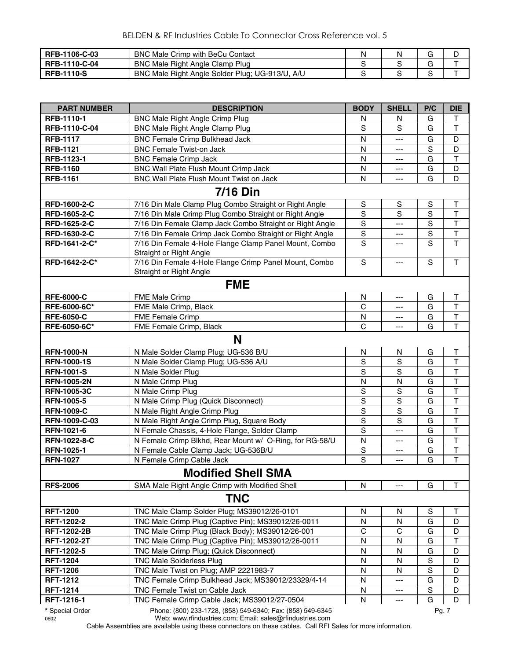| RFB-1106-C-03     | <b>BNC Male Crimp with BeCu Contact</b>         | N |  |
|-------------------|-------------------------------------------------|---|--|
| RFB-1110-C-04     | BNC Male Right Angle Clamp Plug                 |   |  |
| <b>RFB-1110-S</b> | BNC Male Right Angle Solder Plug; UG-913/U, A/U |   |  |

| <b>PART NUMBER</b>  | <b>DESCRIPTION</b>                                                                | <b>BODY</b>    | <b>SHELL</b>  | P/C         | <b>DIE</b>              |
|---------------------|-----------------------------------------------------------------------------------|----------------|---------------|-------------|-------------------------|
| RFB-1110-1          | BNC Male Right Angle Crimp Plug                                                   | N              | N             | G           | Τ                       |
| RFB-1110-C-04       | <b>BNC Male Right Angle Clamp Plug</b>                                            | S              | S             | G           | $\mathsf T$             |
| <b>RFB-1117</b>     | <b>BNC Female Crimp Bulkhead Jack</b>                                             | N              | ---           | G           | D                       |
| <b>RFB-1121</b>     | <b>BNC Female Twist-on Jack</b>                                                   | N              | ---           | $\mathbf S$ | D                       |
| RFB-1123-1          | <b>BNC Female Crimp Jack</b>                                                      | N              | ---           | G           | $\mathsf T$             |
| <b>RFB-1160</b>     | BNC Wall Plate Flush Mount Crimp Jack                                             | N              | ---           | G           | D                       |
| <b>RFB-1161</b>     | BNC Wall Plate Flush Mount Twist on Jack                                          | N              | ---           | G           | D                       |
|                     | <b>7/16 Din</b>                                                                   |                |               |             |                         |
| RFD-1600-2-C        | 7/16 Din Male Clamp Plug Combo Straight or Right Angle                            | ${\sf S}$      | ${\mathsf S}$ | $\mathbf S$ | T                       |
| RFD-1605-2-C        | 7/16 Din Male Crimp Plug Combo Straight or Right Angle                            | S              | S             | $\mathbf S$ | $\top$                  |
| RFD-1625-2-C        | 7/16 Din Female Clamp Jack Combo Straight or Right Angle                          | $\mathbf S$    | ---           | $\mathbf S$ | $\mathsf T$             |
| RFD-1630-2-C        | 7/16 Din Female Crimp Jack Combo Straight or Right Angle                          | $\mathbf S$    | ---           | $\mathbf S$ | $\overline{\mathsf{T}}$ |
| RFD-1641-2-C*       | 7/16 Din Female 4-Hole Flange Clamp Panel Mount, Combo<br>Straight or Right Angle | S              | ---           | S           | $\overline{1}$          |
| RFD-1642-2-C*       | 7/16 Din Female 4-Hole Flange Crimp Panel Mount, Combo<br>Straight or Right Angle | $\mathbf S$    | ---           | S           | T                       |
|                     | <b>FME</b>                                                                        |                |               |             |                         |
| <b>RFE-6000-C</b>   | <b>FME Male Crimp</b>                                                             | N              | ---           | G           | Т                       |
| RFE-6000-6C*        | FME Male Crimp, Black                                                             | C              | ---           | G           | $\top$                  |
| <b>RFE-6050-C</b>   | FME Female Crimp                                                                  | N              | ---           | G           | $\mathsf T$             |
| RFE-6050-6C*        | FME Female Crimp, Black                                                           | $\mathsf{C}$   | ---           | G           | $\overline{\mathsf{T}}$ |
|                     | N                                                                                 |                |               |             |                         |
| <b>RFN-1000-N</b>   | N Male Solder Clamp Plug; UG-536 B/U                                              | N              | N             | G           | Т                       |
| <b>RFN-1000-1S</b>  | N Male Solder Clamp Plug; UG-536 A/U                                              | S              | $\mathbb S$   | G           | $\sf T$                 |
| <b>RFN-1001-S</b>   | N Male Solder Plug                                                                | S              | $\mathbf S$   | G           | $\overline{\mathsf{T}}$ |
| <b>RFN-1005-2N</b>  | N Male Crimp Plug                                                                 | N              | N             | G           | $\overline{\mathsf{T}}$ |
| <b>RFN-1005-3C</b>  | N Male Crimp Plug                                                                 | $\mathbf S$    | ${\mathsf S}$ | G           | $\overline{\mathsf{T}}$ |
| <b>RFN-1005-5</b>   | N Male Crimp Plug (Quick Disconnect)                                              | $\overline{s}$ | S             | G           | $\overline{\mathsf{T}}$ |
| <b>RFN-1009-C</b>   | N Male Right Angle Crimp Plug                                                     | $\overline{s}$ | $\mathsf S$   | G           | $\overline{\mathsf{T}}$ |
| RFN-1009-C-03       | N Male Right Angle Crimp Plug, Square Body                                        | $\overline{s}$ | $\mathbf S$   | G           | $\overline{\mathsf{T}}$ |
| RFN-1021-6          | N Female Chassis, 4-Hole Flange, Solder Clamp                                     | $\mathbf S$    | ---           | G           | T                       |
| <b>RFN-1022-8-C</b> | N Female Crimp Blkhd, Rear Mount w/ O-Ring, for RG-58/U                           | N              | ---           | G           | $\overline{\mathsf{T}}$ |
| RFN-1025-1          | N Female Cable Clamp Jack; UG-536B/U                                              | $\mathbf S$    | ---           | G           | $\overline{\mathsf{T}}$ |
| <b>RFN-1027</b>     | N Female Crimp Cable Jack                                                         | S              | ---           | G           | T                       |
|                     | <b>Modified Shell SMA</b>                                                         |                |               |             |                         |
| <b>RFS-2006</b>     | SMA Male Right Angle Crimp with Modified Shell                                    | N              | ---           | G           | T                       |
|                     | <b>TNC</b>                                                                        |                |               |             |                         |
| <b>RFT-1200</b>     | TNC Male Clamp Solder Plug; MS39012/26-0101                                       | N              | N             | $\mathbf S$ | т                       |
| RFT-1202-2          | TNC Male Crimp Plug (Captive Pin); MS39012/26-0011                                | N              | N             | G           | D                       |
| <b>RFT-1202-2B</b>  | TNC Male Crimp Plug (Black Body); MS39012/26-001                                  | C              | C             | G           | D                       |
| <b>RFT-1202-2T</b>  | TNC Male Crimp Plug (Captive Pin); MS39012/26-0011                                | N              | N             | G           | Τ                       |
| <b>RFT-1202-5</b>   | TNC Male Crimp Plug; (Quick Disconnect)                                           | N              | N             | G           | D                       |
| <b>RFT-1204</b>     | <b>TNC Male Solderless Plug</b>                                                   | N              | N             | $\mathbf S$ | D                       |
| <b>RFT-1206</b>     | TNC Male Twist on Plug; AMP 2221983-7                                             | $\mathsf{N}$   | N             | $\mathbf S$ | D                       |
| <b>RFT-1212</b>     | TNC Female Crimp Bulkhead Jack; MS39012/23329/4-14                                | N              |               | G           | D                       |
| <b>RFT-1214</b>     | TNC Female Twist on Cable Jack                                                    | N<br>N         |               | S<br>G      | D<br>D                  |
| RFT-1216-1          | TNC Female Crimp Cable Jack; MS39012/27-0504                                      |                |               |             |                         |
| * Special Order     | Phone: (800) 233-1728, (858) 549-6340; Fax: (858) 549-6345                        |                |               | Pg. 7       |                         |

0602 Web: www.rfindustries.com; Email: sales@rfindustries.com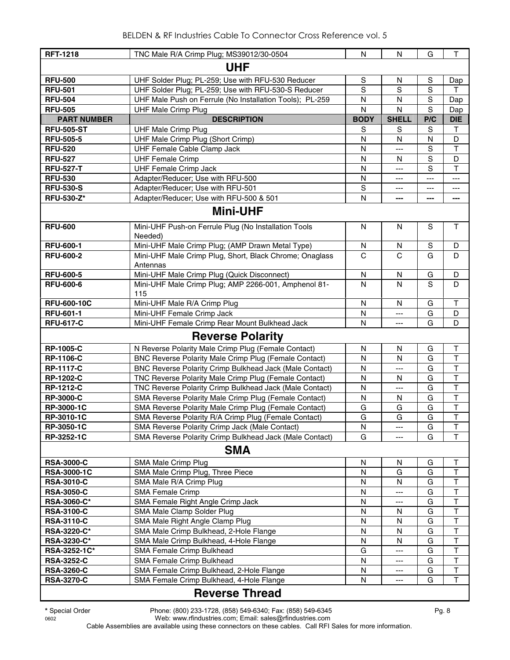| <b>RFT-1218</b>    | TNC Male R/A Crimp Plug; MS39012/30-0504                            | N            | N              | G              | $\mathsf T$  |
|--------------------|---------------------------------------------------------------------|--------------|----------------|----------------|--------------|
|                    | <b>UHF</b>                                                          |              |                |                |              |
| <b>RFU-500</b>     | UHF Solder Plug; PL-259; Use with RFU-530 Reducer                   | S            | N              | S              | Dap          |
| <b>RFU-501</b>     | UHF Solder Plug; PL-259; Use with RFU-530-S Reducer                 | S            | S              | S              | T            |
| <b>RFU-504</b>     | UHF Male Push on Ferrule (No Installation Tools); PL-259            | N            | N              | S              | Dap          |
| <b>RFU-505</b>     | <b>UHF Male Crimp Plug</b>                                          | $\mathsf{N}$ | $\mathsf{N}$   | $\mathbf S$    | Dap          |
| <b>PART NUMBER</b> | <b>DESCRIPTION</b>                                                  | <b>BODY</b>  | <b>SHELL</b>   | P/C            | <b>DIE</b>   |
| <b>RFU-505-ST</b>  | <b>UHF Male Crimp Plug</b>                                          | S            | S              | S              | $\mathsf{T}$ |
| <b>RFU-505-5</b>   | UHF Male Crimp Plug (Short Crimp)                                   | N            | N              | ${\sf N}$      | D            |
| <b>RFU-520</b>     | UHF Female Cable Clamp Jack                                         | N            | ---            | S              | $\mathsf T$  |
| <b>RFU-527</b>     | <b>UHF Female Crimp</b>                                             | N            | N              | $\mathbf S$    | D            |
| <b>RFU-527-T</b>   | <b>UHF Female Crimp Jack</b>                                        | N            | $\overline{a}$ | S              | $\top$       |
| <b>RFU-530</b>     | Adapter/Reducer; Use with RFU-500                                   | N            | $---$          | $\overline{a}$ | ---          |
| <b>RFU-530-S</b>   | Adapter/Reducer; Use with RFU-501                                   | $\mathbb S$  | ---            | ---            | ---          |
| <b>RFU-530-Z*</b>  | Adapter/Reducer; Use with RFU-500 & 501                             | N            | ---            | $---$          | ---          |
|                    | <b>Mini-UHF</b>                                                     |              |                |                |              |
| <b>RFU-600</b>     | Mini-UHF Push-on Ferrule Plug (No Installation Tools<br>Needed)     | N            | N              | S              | $\mathsf{T}$ |
| <b>RFU-600-1</b>   | Mini-UHF Male Crimp Plug; (AMP Drawn Metal Type)                    | N            | N              | S              | D            |
| <b>RFU-600-2</b>   | Mini-UHF Male Crimp Plug, Short, Black Chrome; Onaglass<br>Antennas | $\mathsf{C}$ | $\mathbf C$    | G              | D            |
| <b>RFU-600-5</b>   | Mini-UHF Male Crimp Plug (Quick Disconnect)                         | N            | N              | G              | D            |
| <b>RFU-600-6</b>   | Mini-UHF Male Crimp Plug; AMP 2266-001, Amphenol 81-<br>115         | N            | N              | S              | D            |
| <b>RFU-600-10C</b> | Mini-UHF Male R/A Crimp Plug                                        | N            | N              | G              | Τ            |
| <b>RFU-601-1</b>   | Mini-UHF Female Crimp Jack                                          | N            | ---            | G              | D            |
| <b>RFU-617-C</b>   | Mini-UHF Female Crimp Rear Mount Bulkhead Jack                      | N            | ---            | G              | D            |
|                    | <b>Reverse Polarity</b>                                             |              |                |                |              |
| <b>RP-1005-C</b>   | N Reverse Polarity Male Crimp Plug (Female Contact)                 | N            | N              | G              | Т            |
| <b>RP-1106-C</b>   | BNC Reverse Polarity Male Crimp Plug (Female Contact)               | N            | N              | G              | T            |
| <b>RP-1117-C</b>   | BNC Reverse Polarity Crimp Bulkhead Jack (Male Contact)             | N            | ---            | G              | T            |
| <b>RP-1202-C</b>   | TNC Reverse Polarity Male Crimp Plug (Female Contact)               | N            | N              | G              | T            |
| <b>RP-1212-C</b>   | TNC Reverse Polarity Crimp Bulkhead Jack (Male Contact)             | N            | ---            | G              | T            |
| <b>RP-3000-C</b>   | SMA Reverse Polarity Male Crimp Plug (Female Contact)               | $\mathsf{N}$ | N              | G              | T            |
| RP-3000-1C         | SMA Reverse Polarity Male Crimp Plug (Female Contact)               | G            | G              | G              | T            |
| RP-3010-1C         | SMA Reverse Polarity R/A Crimp Plug (Female Contact)                | G            | G              | G              | T            |
| RP-3050-1C         | SMA Reverse Polarity Crimp Jack (Male Contact)                      | N            | ---            | G              | $\top$       |
| RP-3252-1C         | SMA Reverse Polarity Crimp Bulkhead Jack (Male Contact)             | G            |                | G              | T            |
|                    | <b>SMA</b>                                                          |              |                |                |              |
| <b>RSA-3000-C</b>  | SMA Male Crimp Plug                                                 | N            | N              | G              | Т            |
| <b>RSA-3000-1C</b> | SMA Male Crimp Plug, Three Piece                                    | N            | G              | G              | Τ            |
| <b>RSA-3010-C</b>  | SMA Male R/A Crimp Plug                                             | N            | N              | G              | T            |
| <b>RSA-3050-C</b>  | <b>SMA Female Crimp</b>                                             | N            | ---            | G              | T            |
| RSA-3060-C*        | SMA Female Right Angle Crimp Jack                                   | N            | ---            | G              | T            |
| <b>RSA-3100-C</b>  | SMA Male Clamp Solder Plug                                          | N            | N              | G              | T            |
| <b>RSA-3110-C</b>  | SMA Male Right Angle Clamp Plug                                     | N            | N              | G              | T            |
| RSA-3220-C*        | SMA Male Crimp Bulkhead, 2-Hole Flange                              | N            | N              | G              | T            |
| RSA-3230-C*        | SMA Male Crimp Bulkhead, 4-Hole Flange                              | N            | N              | G              | T            |
| RSA-3252-1C*       | SMA Female Crimp Bulkhead                                           | G            |                | G              | T            |
| <b>RSA-3252-C</b>  | SMA Female Crimp Bulkhead                                           | N            | ---            | G              | $\top$       |
| <b>RSA-3260-C</b>  | SMA Female Crimp Bulkhead, 2-Hole Flange                            | N            | ---            | G              | $\mathsf T$  |
| <b>RSA-3270-C</b>  | SMA Female Crimp Bulkhead, 4-Hole Flange                            | N            | ---            | G              | $\top$       |
|                    |                                                                     |              |                |                |              |

#### **Reverse Thread**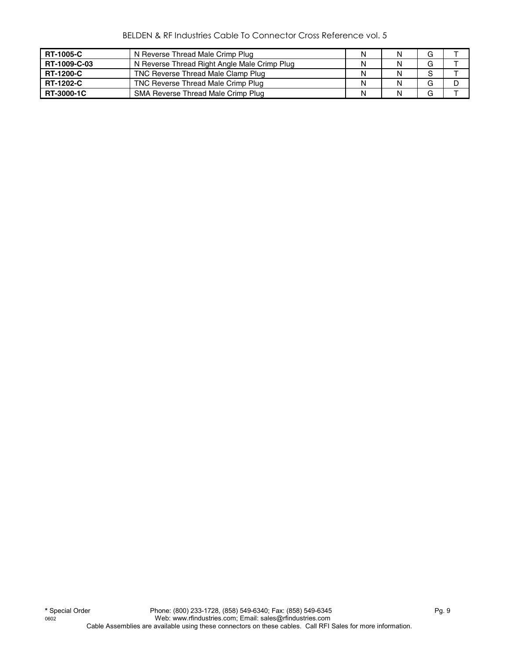BELDEN & RF Industries Cable To Connector Cross Reference vol. 5

| <b>RT-1005-C</b>  | N Reverse Thread Male Crimp Plug             | N | G |  |
|-------------------|----------------------------------------------|---|---|--|
| RT-1009-C-03      | N Reverse Thread Right Angle Male Crimp Plug | N | G |  |
| <b>RT-1200-C</b>  | TNC Reverse Thread Male Clamp Plug           | N |   |  |
| <b>RT-1202-C</b>  | TNC Reverse Thread Male Crimp Plug           | N | G |  |
| <b>RT-3000-1C</b> | SMA Reverse Thread Male Crimp Plug           | N | G |  |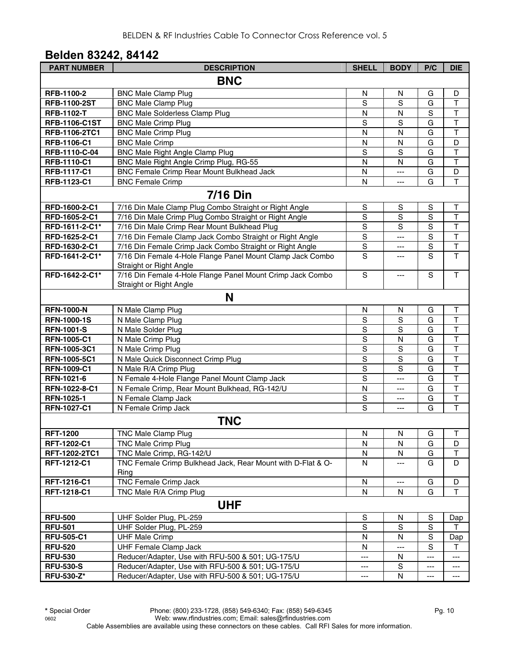# **Belden 83242, 84142**

| <b>PART NUMBER</b>   | <b>DESCRIPTION</b>                                                  | <b>SHELL</b>   | <b>BODY</b>       | P/C                     | <b>DIE</b>              |  |  |  |  |  |
|----------------------|---------------------------------------------------------------------|----------------|-------------------|-------------------------|-------------------------|--|--|--|--|--|
|                      | <b>BNC</b>                                                          |                |                   |                         |                         |  |  |  |  |  |
| RFB-1100-2           | <b>BNC Male Clamp Plug</b>                                          | N              | N                 | G                       | D                       |  |  |  |  |  |
| <b>RFB-1100-2ST</b>  | <b>BNC Male Clamp Plug</b>                                          | S              | S                 | G                       | $\mathsf T$             |  |  |  |  |  |
| <b>RFB-1102-T</b>    | <b>BNC Male Solderless Clamp Plug</b>                               | N              | N                 | S                       | $\top$                  |  |  |  |  |  |
| <b>RFB-1106-C1ST</b> | <b>BNC Male Crimp Plug</b>                                          | S              | S                 | $\overline{\mathsf{G}}$ | $\overline{\mathsf{T}}$ |  |  |  |  |  |
| RFB-1106-2TC1        | <b>BNC Male Crimp Plug</b>                                          | N              | N                 | G                       | T                       |  |  |  |  |  |
| RFB-1106-C1          | <b>BNC Male Crimp</b>                                               | N              | N                 | G                       | D                       |  |  |  |  |  |
| RFB-1110-C-04        | <b>BNC Male Right Angle Clamp Plug</b>                              | $\overline{S}$ | S                 | G                       | T                       |  |  |  |  |  |
| RFB-1110-C1          | BNC Male Right Angle Crimp Plug, RG-55                              | N              | N                 | G                       | T                       |  |  |  |  |  |
| <b>RFB-1117-C1</b>   | BNC Female Crimp Rear Mount Bulkhead Jack                           | N              | ---               | G                       | D                       |  |  |  |  |  |
| RFB-1123-C1          | <b>BNC Female Crimp</b>                                             | N              | ---               | G                       | $\mathsf{T}$            |  |  |  |  |  |
|                      | <b>7/16 Din</b>                                                     |                |                   |                         |                         |  |  |  |  |  |
| RFD-1600-2-C1        | 7/16 Din Male Clamp Plug Combo Straight or Right Angle              | S              | $\mathbf S$       | S                       | T                       |  |  |  |  |  |
| RFD-1605-2-C1        | 7/16 Din Male Crimp Plug Combo Straight or Right Angle              | S              | S                 | $\overline{s}$          | $\overline{\mathsf{T}}$ |  |  |  |  |  |
| RFD-1611-2-C1*       | 7/16 Din Male Crimp Rear Mount Bulkhead Plug                        | $\overline{S}$ | S                 | $\overline{s}$          | $\overline{\mathsf{T}}$ |  |  |  |  |  |
| RFD-1625-2-C1        | 7/16 Din Female Clamp Jack Combo Straight or Right Angle            | $\overline{s}$ | ---               | $\overline{s}$          | $\overline{\mathsf{T}}$ |  |  |  |  |  |
| RFD-1630-2-C1        | 7/16 Din Female Crimp Jack Combo Straight or Right Angle            | $\mathbf S$    | ---               | $\mathbf S$             | $\mathsf T$             |  |  |  |  |  |
| RFD-1641-2-C1*       | 7/16 Din Female 4-Hole Flange Panel Mount Clamp Jack Combo          | S              | ---               | S                       | T                       |  |  |  |  |  |
|                      | Straight or Right Angle                                             |                |                   |                         |                         |  |  |  |  |  |
| RFD-1642-2-C1*       | 7/16 Din Female 4-Hole Flange Panel Mount Crimp Jack Combo          | S              | ---               | $\mathbf S$             | $\overline{\mathsf{T}}$ |  |  |  |  |  |
|                      | Straight or Right Angle                                             |                |                   |                         |                         |  |  |  |  |  |
|                      | N                                                                   |                |                   |                         |                         |  |  |  |  |  |
| <b>RFN-1000-N</b>    | N Male Clamp Plug                                                   | N              | N                 | G                       | Т                       |  |  |  |  |  |
| <b>RFN-1000-1S</b>   | N Male Clamp Plug                                                   | S              | $\mathsf S$       | G                       | $\mathsf T$             |  |  |  |  |  |
| <b>RFN-1001-S</b>    | N Male Solder Plug                                                  | $\mathsf S$    | S                 | G                       | $\mathsf T$             |  |  |  |  |  |
| <b>RFN-1005-C1</b>   | N Male Crimp Plug                                                   | ${\mathsf S}$  | N                 | G                       | $\mathsf T$             |  |  |  |  |  |
| RFN-1005-3C1         | N Male Crimp Plug                                                   | ${\mathsf S}$  | S                 | G                       | $\mathsf T$             |  |  |  |  |  |
| RFN-1005-5C1         | N Male Quick Disconnect Crimp Plug                                  | $\mathsf S$    | S                 | G                       | $\overline{\mathsf{T}}$ |  |  |  |  |  |
| <b>RFN-1009-C1</b>   | N Male R/A Crimp Plug                                               | $\mathbb S$    | S                 | G                       | $\mathsf T$             |  |  |  |  |  |
| RFN-1021-6           | N Female 4-Hole Flange Panel Mount Clamp Jack                       | S              | $---$             | G                       | $\mathsf T$             |  |  |  |  |  |
| RFN-1022-8-C1        | N Female Crimp, Rear Mount Bulkhead, RG-142/U                       | N              | ---               | G                       | $\top$                  |  |  |  |  |  |
| RFN-1025-1           | N Female Clamp Jack                                                 | S              | $\qquad \qquad -$ | G                       | $\sf T$                 |  |  |  |  |  |
| <b>RFN-1027-C1</b>   | N Female Crimp Jack                                                 | S              | $---$             | G                       | $\mathsf{T}$            |  |  |  |  |  |
|                      | <b>TNC</b>                                                          |                |                   |                         |                         |  |  |  |  |  |
| <b>RFT-1200</b>      | <b>TNC Male Clamp Plug</b>                                          | N              | N                 | G                       | Τ                       |  |  |  |  |  |
| RFT-1202-C1          | TNC Male Crimp Plug                                                 | N              | N                 | G                       | D                       |  |  |  |  |  |
| RFT-1202-2TC1        | TNC Male Crimp, RG-142/U                                            | N              | N                 | G                       | Τ                       |  |  |  |  |  |
| RFT-1212-C1          | TNC Female Crimp Bulkhead Jack, Rear Mount with D-Flat & O-<br>Ring | N              | ---               | G                       | D                       |  |  |  |  |  |
| RFT-1216-C1          | TNC Female Crimp Jack                                               | $\mathsf{N}$   | ---               | G                       | D                       |  |  |  |  |  |
| RFT-1218-C1          | TNC Male R/A Crimp Plug                                             | N              | N                 | G                       | T                       |  |  |  |  |  |
|                      | <b>UHF</b>                                                          |                |                   |                         |                         |  |  |  |  |  |
| <b>RFU-500</b>       | UHF Solder Plug, PL-259                                             | $\mathbb S$    | N                 | S                       | Dap                     |  |  |  |  |  |
| <b>RFU-501</b>       | UHF Solder Plug, PL-259                                             | $\mathbb S$    | $\mathbf S$       | $\mathbb S$             | т                       |  |  |  |  |  |
| <b>RFU-505-C1</b>    | <b>UHF Male Crimp</b>                                               | $\mathsf{N}$   | N                 | ${\mathsf S}$           | Dap                     |  |  |  |  |  |
| <b>RFU-520</b>       | <b>UHF Female Clamp Jack</b>                                        | N              | ---               | S                       | т                       |  |  |  |  |  |
| <b>RFU-530</b>       | Reducer/Adapter, Use with RFU-500 & 501; UG-175/U                   | ---            | ${\sf N}$         | ---                     | $\scriptstyle\cdots$    |  |  |  |  |  |
| <b>RFU-530-S</b>     | Reducer/Adapter, Use with RFU-500 & 501; UG-175/U                   | ---            | S                 | ---                     | $---$                   |  |  |  |  |  |
| <b>RFU-530-Z*</b>    | Reducer/Adapter, Use with RFU-500 & 501; UG-175/U                   | $---$          | ${\sf N}$         | ---                     | ---                     |  |  |  |  |  |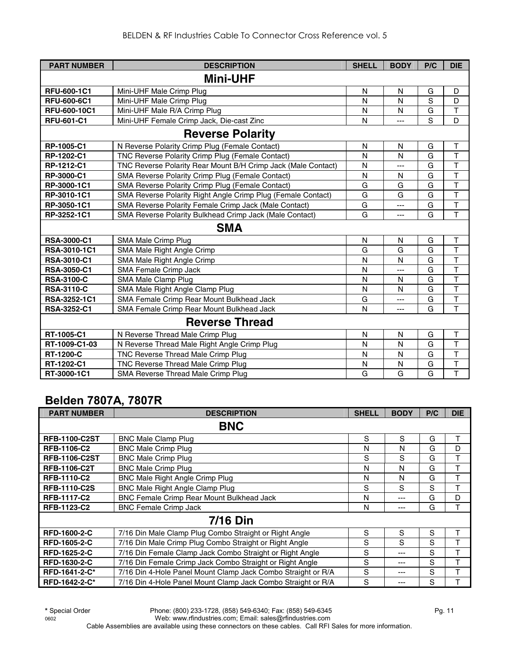| <b>PART NUMBER</b>  | <b>DESCRIPTION</b>                                            | <b>SHELL</b> | <b>BODY</b>    | P/C | <b>DIE</b>              |
|---------------------|---------------------------------------------------------------|--------------|----------------|-----|-------------------------|
|                     | <b>Mini-UHF</b>                                               |              |                |     |                         |
| <b>RFU-600-1C1</b>  | Mini-UHF Male Crimp Plug                                      | N            | N              | G   | D                       |
| <b>RFU-600-6C1</b>  | Mini-UHF Male Crimp Plug                                      | N            | N              | S   | D                       |
| <b>RFU-600-10C1</b> | Mini-UHF Male R/A Crimp Plug                                  | N            | N              | G   | T                       |
| <b>RFU-601-C1</b>   | Mini-UHF Female Crimp Jack, Die-cast Zinc                     | N            | ---            | S   | D                       |
|                     | <b>Reverse Polarity</b>                                       |              |                |     |                         |
| RP-1005-C1          | N Reverse Polarity Crimp Plug (Female Contact)                | N            | N              | G   | $\mathsf T$             |
| RP-1202-C1          | TNC Reverse Polarity Crimp Plug (Female Contact)              | N            | N              | G   | T                       |
| RP-1212-C1          | TNC Reverse Polarity Rear Mount B/H Crimp Jack (Male Contact) | N            | ---            | G   | $\overline{\mathsf{T}}$ |
| RP-3000-C1          | SMA Reverse Polarity Crimp Plug (Female Contact)              | N            | N              | G   | T                       |
| RP-3000-1C1         | SMA Reverse Polarity Crimp Plug (Female Contact)              | G            | G              | G   | T                       |
| RP-3010-1C1         | SMA Reverse Polarity Right Angle Crimp Plug (Female Contact)  | G            | G              | G   | T                       |
| RP-3050-1C1         | SMA Reverse Polarity Female Crimp Jack (Male Contact)         | G            | ---            | G   | $\overline{\mathsf{T}}$ |
| RP-3252-1C1         | SMA Reverse Polarity Bulkhead Crimp Jack (Male Contact)       | G            | ---            | G   | T                       |
|                     | <b>SMA</b>                                                    |              |                |     |                         |
| <b>RSA-3000-C1</b>  | SMA Male Crimp Plug                                           | N            | N              | G   | Т                       |
| RSA-3010-1C1        | SMA Male Right Angle Crimp                                    | G            | G              | G   | T                       |
| RSA-3010-C1         | SMA Male Right Angle Crimp                                    | N            | N              | G   | T                       |
| <b>RSA-3050-C1</b>  | <b>SMA Female Crimp Jack</b>                                  | N            | ---            | G   | T                       |
| <b>RSA-3100-C</b>   | SMA Male Clamp Plug                                           | N            | N              | G   | T                       |
| <b>RSA-3110-C</b>   | SMA Male Right Angle Clamp Plug                               | N            | N              | G   | T                       |
| RSA-3252-1C1        | SMA Female Crimp Rear Mount Bulkhead Jack                     | G            | ---            | G   | $\overline{\mathsf{T}}$ |
| <b>RSA-3252-C1</b>  | SMA Female Crimp Rear Mount Bulkhead Jack                     | N            | $\overline{a}$ | G   | T                       |
|                     | <b>Reverse Thread</b>                                         |              |                |     |                         |
| RT-1005-C1          | N Reverse Thread Male Crimp Plug                              | N            | N              | G   | $\mathsf T$             |
| RT-1009-C1-03       | N Reverse Thread Male Right Angle Crimp Plug                  | N            | N              | G   | T                       |
| <b>RT-1200-C</b>    | TNC Reverse Thread Male Crimp Plug                            | N            | N              | G   | T                       |
| RT-1202-C1          | TNC Reverse Thread Male Crimp Plug                            | N            | N              | G   | $\overline{\mathsf{T}}$ |
| RT-3000-1C1         | SMA Reverse Thread Male Crimp Plug                            | G            | G              | G   | T                       |

# **Belden 7807A, 7807R**

| <b>PART NUMBER</b>   | <b>DESCRIPTION</b>                                           | <b>SHELL</b> | <b>BODY</b> | P/C | <b>DIE</b> |
|----------------------|--------------------------------------------------------------|--------------|-------------|-----|------------|
|                      | <b>BNC</b>                                                   |              |             |     |            |
| <b>RFB-1100-C2ST</b> | <b>BNC Male Clamp Plug</b>                                   | S            | S           | G   | Т          |
| <b>RFB-1106-C2</b>   | <b>BNC Male Crimp Plug</b>                                   | N            | N           | G   | D          |
| <b>RFB-1106-C2ST</b> | <b>BNC Male Crimp Plug</b>                                   | S            | S           | G   | т          |
| <b>RFB-1106-C2T</b>  | <b>BNC Male Crimp Plug</b>                                   | N            | N           | G   | T          |
| <b>RFB-1110-C2</b>   | <b>BNC Male Right Angle Crimp Plug</b>                       | N            | N           | G   | T          |
| <b>RFB-1110-C2S</b>  | BNC Male Right Angle Clamp Plug                              | S            | S           | S   | T          |
| <b>RFB-1117-C2</b>   | <b>BNC Female Crimp Rear Mount Bulkhead Jack</b>             | N            | ---         | G   | D          |
| RFB-1123-C2          | <b>BNC Female Crimp Jack</b>                                 | N            | ---         | G   | т          |
|                      | <b>7/16 Din</b>                                              |              |             |     |            |
| <b>RFD-1600-2-C</b>  | 7/16 Din Male Clamp Plug Combo Straight or Right Angle       | S            | S           | S   | т          |
| <b>RFD-1605-2-C</b>  | 7/16 Din Male Crimp Plug Combo Straight or Right Angle       | S            | S           | S   | T          |
| <b>RFD-1625-2-C</b>  | 7/16 Din Female Clamp Jack Combo Straight or Right Angle     | S            | ---         | S   | T          |
| RFD-1630-2-C         | 7/16 Din Female Crimp Jack Combo Straight or Right Angle     | S            | ---         | S   | T          |
| RFD-1641-2-C*        | 7/16 Din 4-Hole Panel Mount Clamp Jack Combo Straight or R/A | S            | ---         | S   | т          |
| RFD-1642-2-C*        | 7/16 Din 4-Hole Panel Mount Clamp Jack Combo Straight or R/A | S            | ---         | S   | т          |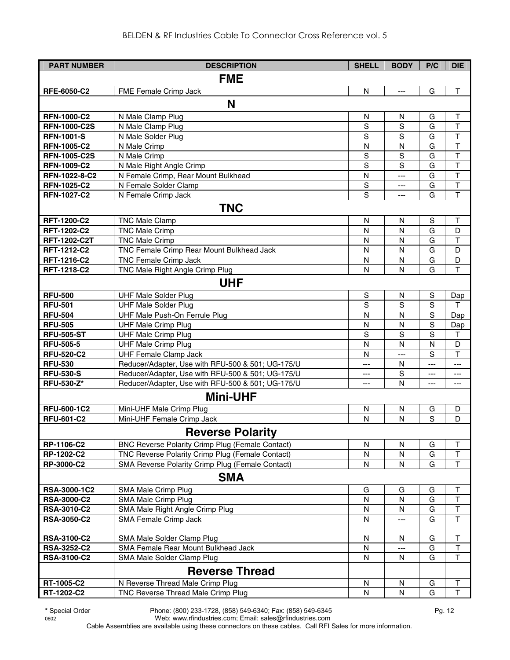| <b>PART NUMBER</b>  | <b>DESCRIPTION</b>                                      | <b>SHELL</b> | <b>BODY</b>    | P/C         | <b>DIE</b>     |
|---------------------|---------------------------------------------------------|--------------|----------------|-------------|----------------|
|                     | <b>FME</b>                                              |              |                |             |                |
| RFE-6050-C2         | FME Female Crimp Jack                                   | $\mathsf{N}$ | $\overline{a}$ | G           | $\mathsf{T}$   |
|                     |                                                         |              |                |             |                |
|                     | N                                                       |              |                |             |                |
| <b>RFN-1000-C2</b>  | N Male Clamp Plug                                       | N            | N              | G           | Τ              |
| <b>RFN-1000-C2S</b> | N Male Clamp Plug                                       | S            | S              | G           | T              |
| <b>RFN-1001-S</b>   | N Male Solder Plug                                      | S            | S              | G           | $\top$         |
| <b>RFN-1005-C2</b>  | $\overline{N}$ Male Crimp                               | N            | N              | G           | T              |
| <b>RFN-1005-C2S</b> | N Male Crimp                                            | S            | S              | G           | T              |
| <b>RFN-1009-C2</b>  | N Male Right Angle Crimp                                | S            | S              | G           | $\top$         |
| RFN-1022-8-C2       | N Female Crimp, Rear Mount Bulkhead                     | ${\sf N}$    | $---$          | G           | $\top$         |
| <b>RFN-1025-C2</b>  | N Female Solder Clamp                                   | ${\sf S}$    | ---            | G           | $\mathsf T$    |
| <b>RFN-1027-C2</b>  | N Female Crimp Jack                                     | S            | $---$          | G           | $\overline{1}$ |
|                     | <b>TNC</b>                                              |              |                |             |                |
| RFT-1200-C2         | <b>TNC Male Clamp</b>                                   | ${\sf N}$    | ${\sf N}$      | $\mathbf S$ | $\mathsf T$    |
| RFT-1202-C2         | <b>TNC Male Crimp</b>                                   | $\mathsf{N}$ | N              | G           | D              |
| RFT-1202-C2T        | <b>TNC Male Crimp</b>                                   | $\mathsf{N}$ | N              | G           | $\mathsf T$    |
| RFT-1212-C2         | TNC Female Crimp Rear Mount Bulkhead Jack               | N            | $\mathsf{N}$   | G           | D              |
| RFT-1216-C2         | TNC Female Crimp Jack                                   | ${\sf N}$    | ${\sf N}$      | G           | D              |
| RFT-1218-C2         | TNC Male Right Angle Crimp Plug                         | N            | $\mathsf{N}$   | G           | $\mathsf{T}$   |
|                     | <b>UHF</b>                                              |              |                |             |                |
| <b>RFU-500</b>      | <b>UHF Male Solder Plug</b>                             | S            | N              | S           | Dap            |
| <b>RFU-501</b>      | <b>UHF Male Solder Plug</b>                             | S            | S              | S           | т              |
| <b>RFU-504</b>      | UHF Male Push-On Ferrule Plug                           | N            | $\mathsf{N}$   | $\mathbf S$ | Dap            |
| <b>RFU-505</b>      | <b>UHF Male Crimp Plug</b>                              | N            | N              | S           | Dap            |
| <b>RFU-505-ST</b>   | <b>UHF Male Crimp Plug</b>                              | $\mathsf S$  | $\mathbf S$    | S           | Τ              |
| <b>RFU-505-5</b>    | <b>UHF Male Crimp Plug</b>                              | N            | N              | N           | D              |
| <b>RFU-520-C2</b>   | <b>UHF Female Clamp Jack</b>                            | N            | $---$          | S           | T              |
| <b>RFU-530</b>      | Reducer/Adapter, Use with RFU-500 & 501; UG-175/U       | ---          | N              | ---         | ---            |
| <b>RFU-530-S</b>    | Reducer/Adapter, Use with RFU-500 & 501; UG-175/U       | ---          | S              | ---         | ---            |
| <b>RFU-530-Z*</b>   | Reducer/Adapter, Use with RFU-500 & 501; UG-175/U       | ---          | N              | ---         | ---            |
|                     | <b>Mini-UHF</b>                                         |              |                |             |                |
| <b>RFU-600-1C2</b>  | Mini-UHF Male Crimp Plug                                | N            | N              | G           | D              |
| <b>RFU-601-C2</b>   | Mini-UHF Female Crimp Jack                              | N            | N              | S           | D              |
|                     |                                                         |              |                |             |                |
|                     | <b>Reverse Polarity</b>                                 |              |                |             |                |
| RP-1106-C2          | <b>BNC Reverse Polarity Crimp Plug (Female Contact)</b> | N            | N              | G           | Τ              |
| <b>RP-1202-C2</b>   | TNC Reverse Polarity Crimp Plug (Female Contact)        | N            | N              | G           | T              |
| <b>RP-3000-C2</b>   | SMA Reverse Polarity Crimp Plug (Female Contact)        | N            | N              | G           | T              |
|                     | <b>SMA</b>                                              |              |                |             |                |
| RSA-3000-1C2        | SMA Male Crimp Plug                                     | G            | G              | G           | Τ              |
| <b>RSA-3000-C2</b>  | SMA Male Crimp Plug                                     | N            | N              | G           | Τ              |
| <b>RSA-3010-C2</b>  | SMA Male Right Angle Crimp Plug                         | N            | N              | G           | $\top$         |
| <b>RSA-3050-C2</b>  | SMA Female Crimp Jack                                   | N            | ---            | G           | $\top$         |
|                     |                                                         |              |                |             |                |
| <b>RSA-3100-C2</b>  | SMA Male Solder Clamp Plug                              | ${\sf N}$    | N              | G           | T              |
| <b>RSA-3252-C2</b>  | SMA Female Rear Mount Bulkhead Jack                     | N            |                | G           | T              |
| RSA-3100-C2         | SMA Male Solder Clamp Plug                              | $\mathsf{N}$ | N              | G           | T              |
|                     | <b>Reverse Thread</b>                                   |              |                |             |                |
| RT-1005-C2          | N Reverse Thread Male Crimp Plug                        | N            | N              | G           | Τ              |
| RT-1202-C2          | TNC Reverse Thread Male Crimp Plug                      | $\mathsf{N}$ | N              | G           | T              |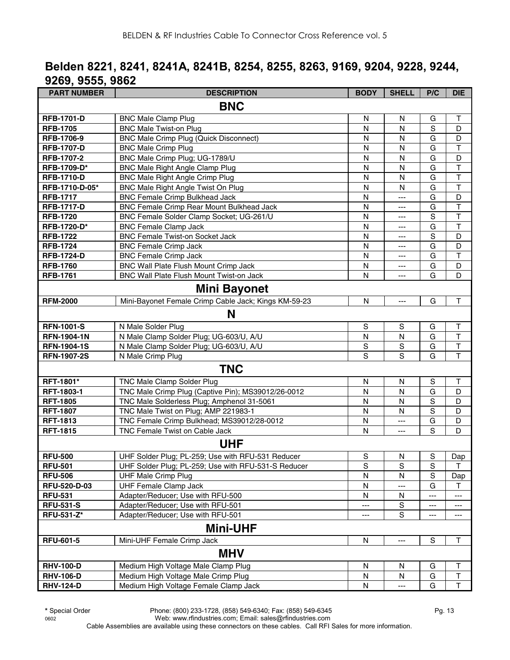# **Belden 8221, 8241, 8241A, 8241B, 8254, 8255, 8263, 9169, 9204, 9228, 9244, 9269, 9555, 9862**

| <b>PART NUMBER</b>  | <b>DESCRIPTION</b>                                   | <b>BODY</b>    | <b>SHELL</b> | P/C         | <b>DIE</b>              |
|---------------------|------------------------------------------------------|----------------|--------------|-------------|-------------------------|
|                     | <b>BNC</b>                                           |                |              |             |                         |
| <b>RFB-1701-D</b>   | <b>BNC Male Clamp Plug</b>                           | N              | N            | G           | т                       |
| <b>RFB-1705</b>     | <b>BNC Male Twist-on Plug</b>                        | N              | N            | $\mathbf S$ | D                       |
| RFB-1706-9          | <b>BNC Male Crimp Plug (Quick Disconnect)</b>        | N              | N            | G           | D                       |
| <b>RFB-1707-D</b>   | <b>BNC Male Crimp Plug</b>                           | N              | N            | G           | T                       |
| RFB-1707-2          | BNC Male Crimp Plug; UG-1789/U                       | $\mathsf{N}$   | N            | G           | D                       |
| RFB-1709-D*         | <b>BNC Male Right Angle Clamp Plug</b>               | $\mathsf{N}$   | N            | G           | $\overline{\mathsf{T}}$ |
| <b>RFB-1710-D</b>   | <b>BNC Male Right Angle Crimp Plug</b>               | N              | N            | G           | $\top$                  |
| RFB-1710-D-05*      | BNC Male Right Angle Twist On Plug                   | N              | N            | G           | $\overline{\mathsf{T}}$ |
| <b>RFB-1717</b>     | <b>BNC Female Crimp Bulkhead Jack</b>                | N              | ---          | G           | D                       |
| <b>RFB-1717-D</b>   | BNC Female Crimp Rear Mount Bulkhead Jack            | N              | ---          | G           | $\overline{\mathsf{T}}$ |
| <b>RFB-1720</b>     | BNC Female Solder Clamp Socket; UG-261/U             | N              | ---          | $\mathsf S$ | $\overline{\mathsf{T}}$ |
| RFB-1720-D*         | <b>BNC Female Clamp Jack</b>                         | N              | ---          | G           | T                       |
| <b>RFB-1722</b>     | <b>BNC Female Twist-on Socket Jack</b>               | N              | ---          | S           | D                       |
| <b>RFB-1724</b>     | <b>BNC Female Crimp Jack</b>                         | $\mathsf{N}$   | ---          | G           | D                       |
| <b>RFB-1724-D</b>   | <b>BNC Female Crimp Jack</b>                         | N              | ---          | G           | T                       |
| <b>RFB-1760</b>     | BNC Wall Plate Flush Mount Crimp Jack                | $\mathsf{N}$   | ---          | G           | D                       |
| <b>RFB-1761</b>     | BNC Wall Plate Flush Mount Twist-on Jack             | N              | ---          | G           | D                       |
|                     | <b>Mini Bayonet</b>                                  |                |              |             |                         |
| <b>RFM-2000</b>     | Mini-Bayonet Female Crimp Cable Jack; Kings KM-59-23 | $\mathsf{N}$   | ---          | G           | $\mathsf T$             |
|                     | N                                                    |                |              |             |                         |
| <b>RFN-1001-S</b>   | N Male Solder Plug                                   | $\mathbf S$    | $\mathsf S$  | G           | $\top$                  |
| <b>RFN-1904-1N</b>  | N Male Clamp Solder Plug; UG-603/U, A/U              | ${\sf N}$      | N            | G           | $\overline{\mathsf{T}}$ |
| <b>RFN-1904-1S</b>  | N Male Clamp Solder Plug; UG-603/U, A/U              | $\mathbf S$    | S            | G           | T                       |
| <b>RFN-1907-2S</b>  | N Male Crimp Plug                                    | $\overline{s}$ | S            | G           | T                       |
|                     | <b>TNC</b>                                           |                |              |             |                         |
| RFT-1801*           | TNC Male Clamp Solder Plug                           | N              | N            | $\mathbb S$ | Τ                       |
| RFT-1803-1          | TNC Male Crimp Plug (Captive Pin); MS39012/26-0012   | N              | N            | G           | D                       |
| <b>RFT-1805</b>     | TNC Male Solderless Plug; Amphenol 31-5061           | $\mathsf{N}$   | N            | S           | D                       |
| <b>RFT-1807</b>     | TNC Male Twist on Plug; AMP 221983-1                 | $\mathsf{N}$   | $\mathsf{N}$ | S           | D                       |
| <b>RFT-1813</b>     | TNC Female Crimp Bulkhead; MS39012/28-0012           | $\mathsf{N}$   | ---          | G           | D                       |
| <b>RFT-1815</b>     | TNC Female Twist on Cable Jack                       | N              | ---          | S           | D                       |
|                     | <b>UHF</b>                                           |                |              |             |                         |
| <b>RFU-500</b>      | UHF Solder Plug; PL-259; Use with RFU-531 Reducer    | S              | N            | S           | Dap                     |
| <b>RFU-501</b>      | UHF Solder Plug; PL-259; Use with RFU-531-S Reducer  | $\mathbf S$    | $\mathbf S$  | $\mathbf S$ | $\mathsf T$             |
| <b>RFU-506</b>      | <b>UHF Male Crimp Plug</b>                           | N              | N            | $\mathbf S$ | Dap                     |
| <b>RFU-520-D-03</b> | <b>UHF Female Clamp Jack</b>                         | N              | ---          | G           | т                       |
| <b>RFU-531</b>      | Adapter/Reducer; Use with RFU-500                    | N              | N            | ---         | ---                     |
| <b>RFU-531-S</b>    | Adapter/Reducer; Use with RFU-501                    | ---            | S            | ---         | ---                     |
| RFU-531-Z*          | Adapter/Reducer; Use with RFU-501                    | ---            | S            | ---         | ---                     |
|                     | <b>Mini-UHF</b>                                      |                |              |             |                         |
| <b>RFU-601-5</b>    | Mini-UHF Female Crimp Jack                           | ${\sf N}$      | ---          | $\mathbf S$ | Τ                       |
|                     | <b>MHV</b>                                           |                |              |             |                         |
| <b>RHV-100-D</b>    | Medium High Voltage Male Clamp Plug                  | ${\sf N}$      | ${\sf N}$    | G           | T                       |
| <b>RHV-106-D</b>    | Medium High Voltage Male Crimp Plug                  | ${\sf N}$      | N            | G           | T                       |
| <b>RHV-124-D</b>    | Medium High Voltage Female Clamp Jack                | $\mathsf{N}$   |              | G           | T                       |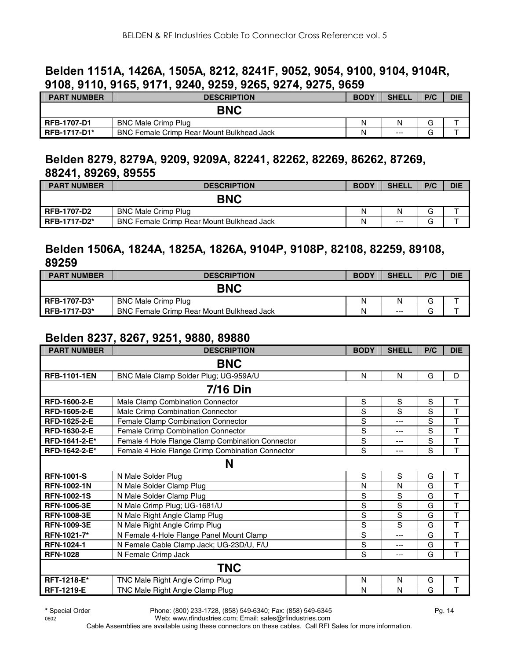#### **Belden 1151A, 1426A, 1505A, 8212, 8241F, 9052, 9054, 9100, 9104, 9104R, 9108, 9110, 9165, 9171, 9240, 9259, 9265, 9274, 9275, 9659**

| <b>PART NUMBER</b>  | <b>DESCRIPTION</b>                        | <b>BODY</b> | <b>SHELI</b> | P/C | <b>DIE</b> |
|---------------------|-------------------------------------------|-------------|--------------|-----|------------|
|                     | <b>BNC</b>                                |             |              |     |            |
| <b>RFB-1707-D1</b>  | <b>BNC Male Crimp Plug</b>                | Ν           | N            | G   |            |
| <b>RFB-1717-D1*</b> | BNC Female Crimp Rear Mount Bulkhead Jack | N           | $---$        | G   |            |

#### **Belden 8279, 8279A, 9209, 9209A, 82241, 82262, 82269, 86262, 87269, 88241, 89269, 89555**

| <b>PART NUMBER</b>  | <b>DESCRIPTION</b>                        | <b>BODY</b> | <b>SHELL</b> | P/C | <b>DIE</b> |
|---------------------|-------------------------------------------|-------------|--------------|-----|------------|
|                     | <b>BNC</b>                                |             |              |     |            |
| <b>RFB-1707-D2</b>  | <b>BNC Male Crimp Plug</b>                | N           | N            | G   |            |
| <b>RFB-1717-D2*</b> | BNC Female Crimp Rear Mount Bulkhead Jack | N           | $---$        | G   |            |

#### **Belden 1506A, 1824A, 1825A, 1826A, 9104P, 9108P, 82108, 82259, 89108, 89259**

| <b>PART NUMBER</b>  | <b>DESCRIPTION</b>                               | <b>BODY</b> | <b>SHELL</b> | P/C | <b>DIE</b> |
|---------------------|--------------------------------------------------|-------------|--------------|-----|------------|
|                     | <b>BNC</b>                                       |             |              |     |            |
| RFB-1707-D3*        | <b>BNC Male Crimp Plug</b>                       | N           | N            | G   |            |
| <b>RFB-1717-D3*</b> | <b>BNC Female Crimp Rear Mount Bulkhead Jack</b> | N           | $---$        | G   |            |

#### **Belden 8237, 8267, 9251, 9880, 89880**

| <b>PART NUMBER</b>  | <b>DESCRIPTION</b>                               | <b>BODY</b> | <b>SHELL</b> | P/C         | <b>DIE</b> |  |  |  |  |
|---------------------|--------------------------------------------------|-------------|--------------|-------------|------------|--|--|--|--|
| <b>BNC</b>          |                                                  |             |              |             |            |  |  |  |  |
| <b>RFB-1101-1EN</b> | BNC Male Clamp Solder Plug; UG-959A/U            | N           | N            | G           | D          |  |  |  |  |
|                     | 7/16 Din                                         |             |              |             |            |  |  |  |  |
| RFD-1600-2-E        | Male Clamp Combination Connector                 | S           | S            | S           | T          |  |  |  |  |
| <b>RFD-1605-2-E</b> | Male Crimp Combination Connector                 | S           | S            | S           | T          |  |  |  |  |
| RFD-1625-2-E        | Female Clamp Combination Connector               | S           | $---$        | S           | T          |  |  |  |  |
| RFD-1630-2-E        | Female Crimp Combination Connector               | S           | ---          | S           | T          |  |  |  |  |
| RFD-1641-2-E*       | Female 4 Hole Flange Clamp Combination Connector | S           | ---          | $\mathbf S$ | T          |  |  |  |  |
| RFD-1642-2-E*       | Female 4 Hole Flange Crimp Combination Connector | S           | ---          | S           | T          |  |  |  |  |
|                     | N                                                |             |              |             |            |  |  |  |  |
| <b>RFN-1001-S</b>   | N Male Solder Plug                               | S           | S            | G           | T          |  |  |  |  |
| <b>RFN-1002-1N</b>  | N Male Solder Clamp Plug                         | N           | N            | G           | T          |  |  |  |  |
| <b>RFN-1002-1S</b>  | N Male Solder Clamp Plug                         | S           | S            | G           | T          |  |  |  |  |
| <b>RFN-1006-3E</b>  | N Male Crimp Plug; UG-1681/U                     | S           | S            | G           | T          |  |  |  |  |
| <b>RFN-1008-3E</b>  | N Male Right Angle Clamp Plug                    | S           | S            | G           | T          |  |  |  |  |
| <b>RFN-1009-3E</b>  | N Male Right Angle Crimp Plug                    | S           | S            | G           | T          |  |  |  |  |
| RFN-1021-7*         | N Female 4-Hole Flange Panel Mount Clamp         | S           | $---$        | G           | T          |  |  |  |  |
| <b>RFN-1024-1</b>   | N Female Cable Clamp Jack; UG-23D/U, F/U         | S           | ---          | G           | T          |  |  |  |  |
| <b>RFN-1028</b>     | N Female Crimp Jack                              | S           | $---$        | G           | T          |  |  |  |  |
|                     | <b>TNC</b>                                       |             |              |             |            |  |  |  |  |
| RFT-1218-E*         | TNC Male Right Angle Crimp Plug                  | N           | N            | G           | Т          |  |  |  |  |
| <b>RFT-1219-E</b>   | TNC Male Right Angle Clamp Plug                  | N           | N            | G           | T          |  |  |  |  |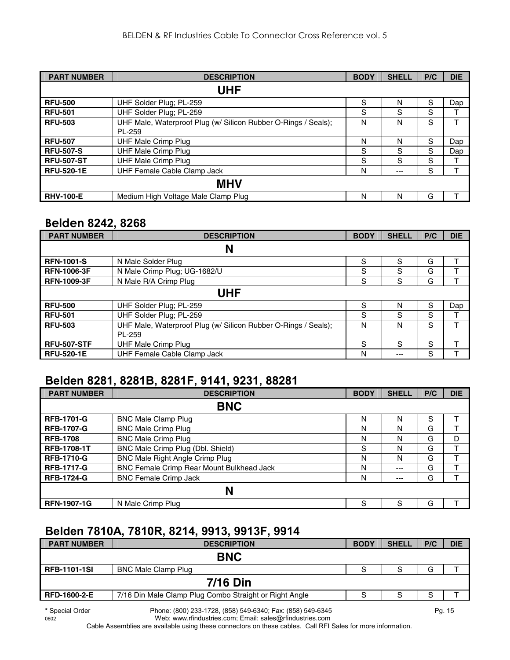| <b>PART NUMBER</b> | <b>DESCRIPTION</b>                                                       | <b>BODY</b> | <b>SHELL</b> | P/C | <b>DIE</b> |
|--------------------|--------------------------------------------------------------------------|-------------|--------------|-----|------------|
|                    | UHF                                                                      |             |              |     |            |
| <b>RFU-500</b>     | UHF Solder Plug; PL-259                                                  | S           | N            | S   | Dap        |
| <b>RFU-501</b>     | UHF Solder Plug; PL-259                                                  | S           | S            | S   |            |
| <b>RFU-503</b>     | UHF Male, Waterproof Plug (w/ Silicon Rubber O-Rings / Seals);<br>PL-259 | N           | N            | S   | т          |
| <b>RFU-507</b>     | <b>UHF Male Crimp Plug</b>                                               | N           | N            | S   | Dap        |
| <b>RFU-507-S</b>   | <b>UHF Male Crimp Plug</b>                                               | S           | S            | S   | Dap        |
| <b>RFU-507-ST</b>  | <b>UHF Male Crimp Plug</b>                                               | S           | S            | S   |            |
| <b>RFU-520-1E</b>  | UHF Female Cable Clamp Jack                                              | N           | $---$        | S   |            |
|                    | <b>MHV</b>                                                               |             |              |     |            |
| <b>RHV-100-E</b>   | Medium High Voltage Male Clamp Plug                                      | N           | N            | G   |            |

#### **Belden 8242, 8268**

| <b>PART NUMBER</b> | <b>DESCRIPTION</b>                                             | <b>BODY</b> | <b>SHELL</b> | P/C | <b>DIE</b> |  |
|--------------------|----------------------------------------------------------------|-------------|--------------|-----|------------|--|
|                    | N                                                              |             |              |     |            |  |
| <b>RFN-1001-S</b>  | N Male Solder Plug                                             | S           | S            | G   | т          |  |
| <b>RFN-1006-3F</b> | N Male Crimp Plug; UG-1682/U                                   | S           | S            | G   |            |  |
| <b>RFN-1009-3F</b> | N Male R/A Crimp Plug                                          | S           | S            | G   |            |  |
|                    | UHF                                                            |             |              |     |            |  |
| <b>RFU-500</b>     | UHF Solder Plug; PL-259                                        | S           | N            | S   | Dap        |  |
| <b>RFU-501</b>     | UHF Solder Plug; PL-259                                        | S           | S            | S   |            |  |
| <b>RFU-503</b>     | UHF Male, Waterproof Plug (w/ Silicon Rubber O-Rings / Seals); | N           | N            | S   | т          |  |
|                    | PL-259                                                         |             |              |     |            |  |
| <b>RFU-507-STF</b> | <b>UHF Male Crimp Plug</b>                                     | S           | S            | S   |            |  |
| <b>RFU-520-1E</b>  | UHF Female Cable Clamp Jack                                    | N           | $---$        | S   |            |  |

#### **Belden 8281, 8281B, 8281F, 9141, 9231, 88281**

| <b>PART NUMBER</b> | <b>DESCRIPTION</b>                        | <b>BODY</b> | <b>SHELL</b> | P/C | <b>DIE</b> |
|--------------------|-------------------------------------------|-------------|--------------|-----|------------|
|                    | <b>BNC</b>                                |             |              |     |            |
| <b>RFB-1701-G</b>  | <b>BNC Male Clamp Plug</b>                | N           | N            | S   |            |
| <b>RFB-1707-G</b>  | <b>BNC Male Crimp Plug</b>                | N           | N            | G   |            |
| <b>RFB-1708</b>    | <b>BNC Male Crimp Plug</b>                | N           | N            | G   | D          |
| <b>RFB-1708-1T</b> | BNC Male Crimp Plug (Dbl. Shield)         | S           | N            | G   |            |
| <b>RFB-1710-G</b>  | <b>BNC Male Right Angle Crimp Plug</b>    | N           | N            | G   |            |
| <b>RFB-1717-G</b>  | BNC Female Crimp Rear Mount Bulkhead Jack | N           | $---$        | G   |            |
| <b>RFB-1724-G</b>  | <b>BNC Female Crimp Jack</b>              | N           | $---$        | G   | т          |
|                    | N                                         |             |              |     |            |
| <b>RFN-1907-1G</b> | N Male Crimp Plug                         | S           | S            | G   |            |

#### **Belden 7810A, 7810R, 8214, 9913, 9913F, 9914**

| <b>PART NUMBER</b>  | <b>DESCRIPTION</b>                                     | <b>BODY</b> | <b>SHELL</b> | P/C | <b>DIE</b> |
|---------------------|--------------------------------------------------------|-------------|--------------|-----|------------|
|                     | <b>BNC</b>                                             |             |              |     |            |
| <b>RFB-1101-1SI</b> | <b>BNC Male Clamp Plug</b>                             | S           | c<br>c       | G   |            |
|                     | <b>7/16 Din</b>                                        |             |              |     |            |
| <b>RFD-1600-2-E</b> | 7/16 Din Male Clamp Plug Combo Straight or Right Angle |             | S            | S   |            |
|                     |                                                        |             |              |     |            |

**\*** Special Order Phone: (800) 233-1728, (858) 549-6340; Fax: (858) 549-6345 Pg. 15 Web: www.rfindustries.com; Email: sales@rfindustries.com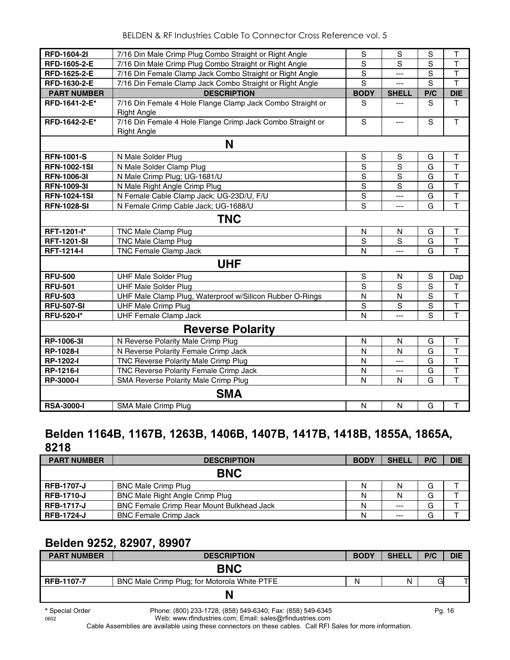| <b>RFD-1604-2I</b>  | 7/16 Din Male Crimp Plug Combo Straight or Right Angle     | S              | S              | S           | T                       |
|---------------------|------------------------------------------------------------|----------------|----------------|-------------|-------------------------|
| RFD-1605-2-E        | 7/16 Din Male Crimp Plug Combo Straight or Right Angle     | S              | S              | S           | $\mathsf{T}$            |
| RFD-1625-2-E        | 7/16 Din Female Clamp Jack Combo Straight or Right Angle   | S              | ---            | S           | $\mathsf{T}$            |
| RFD-1630-2-E        | 7/16 Din Female Clamp Jack Combo Straight or Right Angle   | S              | ---            | S           | T                       |
| <b>PART NUMBER</b>  | <b>DESCRIPTION</b>                                         | <b>BODY</b>    | <b>SHELL</b>   | P/C         | <b>DIE</b>              |
| RFD-1641-2-E*       | 7/16 Din Female 4 Hole Flange Clamp Jack Combo Straight or | S              | ---            | S           | T                       |
|                     | <b>Right Angle</b>                                         |                |                |             |                         |
| RFD-1642-2-E*       | 7/16 Din Female 4 Hole Flange Crimp Jack Combo Straight or | $\mathbf S$    | $---$          | S           | $\mathsf{T}$            |
|                     | <b>Right Angle</b>                                         |                |                |             |                         |
|                     | N                                                          |                |                |             |                         |
| <b>RFN-1001-S</b>   | N Male Solder Plug                                         | S              | S              | G           | T                       |
| <b>RFN-1002-1SI</b> | N Male Solder Clamp Plug                                   | S              | S              | G           | $\mathsf{T}$            |
| <b>RFN-1006-31</b>  | N Male Crimp Plug; UG-1681/U                               | S              | S              | G           | $\mathsf{T}$            |
| <b>RFN-1009-31</b>  | N Male Right Angle Crimp Plug                              | S              | S              | G           | $\overline{\mathsf{T}}$ |
| <b>RFN-1024-1SI</b> | N Female Cable Clamp Jack; UG-23D/U, F/U                   | $\mathbf S$    | ---            | G           | $\overline{\mathsf{T}}$ |
| <b>RFN-1028-SI</b>  | N Female Crimp Cable Jack; UG-1688/U                       | $\overline{s}$ | ---            | G           | $\overline{\mathsf{T}}$ |
|                     | <b>TNC</b>                                                 |                |                |             |                         |
| RFT-1201-l*         | <b>TNC Male Clamp Plug</b>                                 | $\mathsf{N}$   | N              | G           | $\mathsf T$             |
| <b>RFT-1201-SI</b>  | TNC Male Clamp Plug                                        | $\overline{s}$ | $\overline{s}$ | G           | $\overline{\mathsf{T}}$ |
| <b>RFT-1214-I</b>   | TNC Female Clamp Jack                                      | N              | ---            | G           | T                       |
|                     | <b>UHF</b>                                                 |                |                |             |                         |
| <b>RFU-500</b>      | <b>UHF Male Solder Plug</b>                                | S              | N              | S           | Dap                     |
| <b>RFU-501</b>      | <b>UHF Male Solder Plug</b>                                | S              | S              | $\mathbf S$ | $\mathsf T$             |
| <b>RFU-503</b>      | UHF Male Clamp Plug, Waterproof w/Silicon Rubber O-Rings   | N              | N              | $\mathbf S$ | $\top$                  |
| <b>RFU-507-SI</b>   | <b>UHF Male Crimp Plug</b>                                 | S              | S              | $\mathbf S$ | $\top$                  |
| <b>RFU-520-I*</b>   | <b>UHF Female Clamp Jack</b>                               | N              | $\overline{a}$ | S           | T                       |
|                     | <b>Reverse Polarity</b>                                    |                |                |             |                         |
| RP-1006-3I          | N Reverse Polarity Male Crimp Plug                         | N              | N              | G           | $\mathsf T$             |
| RP-1028-I           | N Reverse Polarity Female Crimp Jack                       | N              | N              | G           | $\top$                  |
| RP-1202-I           | TNC Reverse Polarity Male Crimp Plug                       | N              | ---            | G           | $\mathsf{T}$            |
| <b>RP-1216-I</b>    | TNC Reverse Polarity Female Crimp Jack                     | N              | ---            | G           | $\overline{\mathsf{T}}$ |
| RP-3000-I           | SMA Reverse Polarity Male Crimp Plug                       | N              | N              | G           | $\overline{\mathsf{T}}$ |
|                     | <b>SMA</b>                                                 |                |                |             |                         |
| <b>RSA-3000-I</b>   | SMA Male Crimp Plug                                        | $\mathsf{N}$   | $\mathsf{N}$   | G           | $\mathsf T$             |

#### **Belden 1164B, 1167B, 1263B, 1406B, 1407B, 1417B, 1418B, 1855A, 1865A, 8218**

| <b>PART NUMBER</b> | <b>DESCRIPTION</b>                               | <b>BODY</b> | <b>SHELL</b> | P/C | <b>DIE</b> |
|--------------------|--------------------------------------------------|-------------|--------------|-----|------------|
|                    | <b>BNC</b>                                       |             |              |     |            |
| <b>RFB-1707-J</b>  | <b>BNC Male Crimp Plug</b>                       | N           |              | G   |            |
| <b>RFB-1710-J</b>  | <b>BNC Male Right Angle Crimp Plug</b>           | N           |              | G   |            |
| <b>RFB-1717-J</b>  | <b>BNC Female Crimp Rear Mount Bulkhead Jack</b> | N           | $--$         | G   |            |
| <b>RFB-1724-J</b>  | <b>BNC Female Crimp Jack</b>                     | N           | $--$         | G   |            |

# **Belden 9252, 82907, 89907**

| <b>PART NUMBER</b>        | <b>DESCRIPTION</b>                                                                                                                                                                                                                       | <b>BODY</b> | <b>SHELL</b> | P/C  | <b>DIE</b> |
|---------------------------|------------------------------------------------------------------------------------------------------------------------------------------------------------------------------------------------------------------------------------------|-------------|--------------|------|------------|
|                           | <b>BNC</b>                                                                                                                                                                                                                               |             |              |      |            |
| <b>RFB-1107-7</b>         | BNC Male Crimp Plug; for Motorola White PTFE                                                                                                                                                                                             | N           | Ν            | G    |            |
|                           |                                                                                                                                                                                                                                          |             |              |      |            |
| $\sim$ $\sim$<br>$\cdots$ | $\sim$<br>$(0.001, 0.00, 1, 0.00, 1.00, 0.00, 0.00, 0.00, 0.00, 0.00, 0.00, 0.00, 0.00, 0.00, 0.00, 0.00, 0.00, 0.00, 0.00, 0.00, 0.00, 0.00, 0.00, 0.00, 0.00, 0.00, 0.00, 0.00, 0.00, 0.00, 0.00, 0.00, 0.00, 0.00, 0.00, 0.00, 0.00,$ |             |              | $-1$ |            |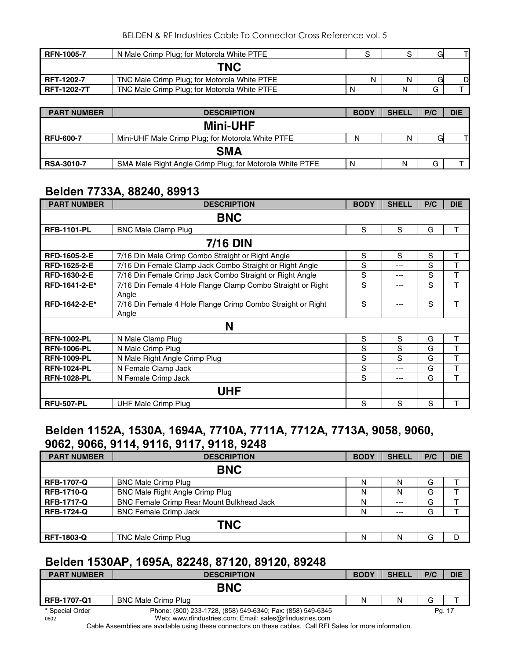| <b>RFN-1005-7</b>  | N Male Crimp Plug; for Motorola White PTFE   |   |   | G |   |
|--------------------|----------------------------------------------|---|---|---|---|
|                    | <b>TNC</b>                                   |   |   |   |   |
| <b>RFT-1202-7</b>  | TNC Male Crimp Plug; for Motorola White PTFE | N | Ν | G | D |
| <b>RFT-1202-7T</b> | TNC Male Crimp Plug; for Motorola White PTFE | N | N | G |   |

| <b>PART NUMBER</b> | <b>DESCRIPTION</b>                                       | <b>BODY</b> | <b>SHELL</b> | P/C | <b>DIE</b> |  |  |  |  |
|--------------------|----------------------------------------------------------|-------------|--------------|-----|------------|--|--|--|--|
|                    | <b>Mini-UHF</b>                                          |             |              |     |            |  |  |  |  |
| <b>RFU-600-7</b>   | Mini-UHF Male Crimp Plug; for Motorola White PTFE        | N           | Ν            | Gl  |            |  |  |  |  |
|                    | <b>SMA</b>                                               |             |              |     |            |  |  |  |  |
| <b>RSA-3010-7</b>  | SMA Male Right Angle Crimp Plug; for Motorola White PTFE | N           | N            | G   |            |  |  |  |  |

#### **Belden 7733A, 88240, 89913**

| <b>PART NUMBER</b>  | <b>DESCRIPTION</b>                                                   | <b>BODY</b> | <b>SHELL</b> | P/C | <b>DIE</b> |  |  |  |
|---------------------|----------------------------------------------------------------------|-------------|--------------|-----|------------|--|--|--|
| <b>BNC</b>          |                                                                      |             |              |     |            |  |  |  |
| <b>RFB-1101-PL</b>  | <b>BNC Male Clamp Plug</b>                                           | S           | S            | G   | т          |  |  |  |
|                     | <b>7/16 DIN</b>                                                      |             |              |     |            |  |  |  |
| RFD-1605-2-E        | 7/16 Din Male Crimp Combo Straight or Right Angle                    | S           | S            | S   | Τ          |  |  |  |
| <b>RFD-1625-2-E</b> | 7/16 Din Female Clamp Jack Combo Straight or Right Angle             | S           | ---          | S   | т          |  |  |  |
| RFD-1630-2-E        | 7/16 Din Female Crimp Jack Combo Straight or Right Angle             | S           | ---          | S   | Τ          |  |  |  |
| RFD-1641-2-E*       | 7/16 Din Female 4 Hole Flange Clamp Combo Straight or Right<br>Angle | S           | ---          | S   | T          |  |  |  |
| RFD-1642-2-E*       | 7/16 Din Female 4 Hole Flange Crimp Combo Straight or Right<br>Angle | S           | ---          | S   | T          |  |  |  |
|                     | N                                                                    |             |              |     |            |  |  |  |
| <b>RFN-1002-PL</b>  | N Male Clamp Plug                                                    | S           | S            | G   | Τ          |  |  |  |
| <b>RFN-1006-PL</b>  | N Male Crimp Plug                                                    | S           | S            | G   | T          |  |  |  |
| <b>RFN-1009-PL</b>  | N Male Right Angle Crimp Plug                                        | S           | S            | G   | Т          |  |  |  |
| <b>RFN-1024-PL</b>  | N Female Clamp Jack                                                  | S           | ---          | G   | Τ          |  |  |  |
| <b>RFN-1028-PL</b>  | N Female Crimp Jack                                                  | S           | $---$        | G   | T          |  |  |  |
|                     | UHF                                                                  |             |              |     |            |  |  |  |
| <b>RFU-507-PL</b>   | <b>UHF Male Crimp Plug</b>                                           | S           | S            | S   | т          |  |  |  |

#### **Belden 1152A, 1530A, 1694A, 7710A, 7711A, 7712A, 7713A, 9058, 9060, 9062, 9066, 9114, 9116, 9117, 9118, 9248**

| <b>PART NUMBER</b> | <b>DESCRIPTION</b>                        | <b>BODY</b> | <b>SHELL</b> | P/C | <b>DIE</b> |  |  |  |  |
|--------------------|-------------------------------------------|-------------|--------------|-----|------------|--|--|--|--|
|                    | <b>BNC</b>                                |             |              |     |            |  |  |  |  |
| <b>RFB-1707-Q</b>  | <b>BNC Male Crimp Plug</b>                | N           | N            | G   |            |  |  |  |  |
| <b>RFB-1710-Q</b>  | BNC Male Right Angle Crimp Plug           | N           | N            | G   |            |  |  |  |  |
| <b>RFB-1717-Q</b>  | BNC Female Crimp Rear Mount Bulkhead Jack | N           | $--$         | G   |            |  |  |  |  |
| <b>RFB-1724-Q</b>  | <b>BNC Female Crimp Jack</b>              | N           | $---$        | G   |            |  |  |  |  |
|                    | <b>TNC</b>                                |             |              |     |            |  |  |  |  |
| <b>RFT-1803-Q</b>  | TNC Male Crimp Plug                       | N           | N            | G   |            |  |  |  |  |

#### **Belden 1530AP, 1695A, 82248, 87120, 89120, 89248**

| <b>PART NUMBER</b> | <b>DESCRIPTION</b>                                         | <b>BODY</b> | <b>SHELL</b> | P/C | <b>DIE</b> |
|--------------------|------------------------------------------------------------|-------------|--------------|-----|------------|
|                    | <b>BNC</b>                                                 |             |              |     |            |
| RFB-1707-Q1        | <b>BNC Male Crimp Plug</b>                                 | N           |              | G   |            |
| * Special Order    | Phone: (800) 233-1728, (858) 549-6340; Fax: (858) 549-6345 |             |              |     | Pg. 17     |
| 0602               | Web: www.rfindustries.com; Email: sales@rfindustries.com   |             |              |     |            |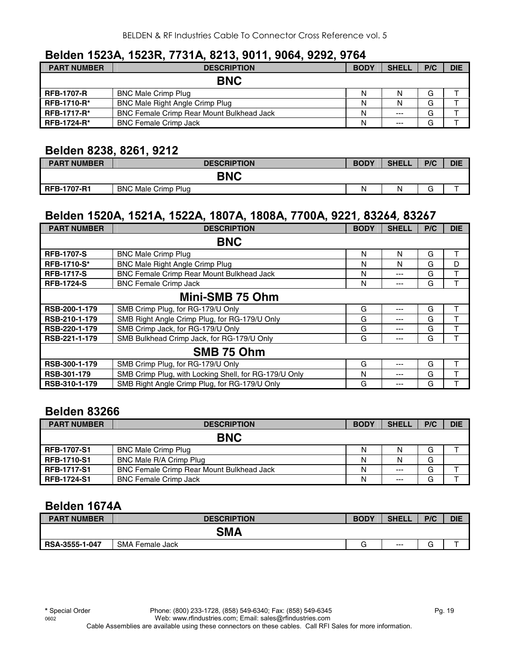#### **Belden 1523A, 1523R, 7731A, 8213, 9011, 9064, 9292, 9764**

| <b>PART NUMBER</b> | <b>DESCRIPTION</b>                               | <b>BODY</b> | <b>SHELL</b> | P/C | <b>DIE</b> |
|--------------------|--------------------------------------------------|-------------|--------------|-----|------------|
|                    | <b>BNC</b>                                       |             |              |     |            |
| <b>RFB-1707-R</b>  | <b>BNC Male Crimp Plug</b>                       | Ν           | N            | G   |            |
| <b>RFB-1710-R*</b> | BNC Male Right Angle Crimp Plug                  | N           | N            | G   |            |
| <b>RFB-1717-R*</b> | <b>BNC Female Crimp Rear Mount Bulkhead Jack</b> | N           | $--$         | G   |            |
| <b>RFB-1724-R*</b> | <b>BNC Female Crimp Jack</b>                     | Ν           | $---$        | G   |            |

# **Belden 8238, 8261, 9212**

| <b>PART NUMBER</b> | <b>DESCRIPTION</b>         | <b>BODY</b> | <b>SHELL</b> | P/C | <b>DIE</b> |  |
|--------------------|----------------------------|-------------|--------------|-----|------------|--|
| <b>BNC</b>         |                            |             |              |     |            |  |
| <b>RFB-1707-R1</b> | <b>BNC Male Crimp Plug</b> | Ν           | N            | ∽   |            |  |

# **Belden 1520A, 1521A, 1522A, 1807A, 1808A, 7700A, 9221, 83264, 83267**

| <b>PART NUMBER</b> | <b>DESCRIPTION</b>                                    | <b>BODY</b> | <b>SHELL</b> | P/C | <b>DIE</b> |  |  |
|--------------------|-------------------------------------------------------|-------------|--------------|-----|------------|--|--|
|                    | <b>BNC</b>                                            |             |              |     |            |  |  |
| <b>RFB-1707-S</b>  | <b>BNC Male Crimp Plug</b>                            | N           | N            | G   | т          |  |  |
| <b>RFB-1710-S*</b> | <b>BNC Male Right Angle Crimp Plug</b>                | N           | N            | G   | D          |  |  |
| <b>RFB-1717-S</b>  | <b>BNC Female Crimp Rear Mount Bulkhead Jack</b><br>N |             |              |     |            |  |  |
| <b>RFB-1724-S</b>  | <b>BNC Female Crimp Jack</b>                          | N           | ---          | G   |            |  |  |
|                    | Mini-SMB 75 Ohm                                       |             |              |     |            |  |  |
| RSB-200-1-179      | SMB Crimp Plug, for RG-179/U Only                     | G           | ---          | G   | Т          |  |  |
| RSB-210-1-179      | SMB Right Angle Crimp Plug, for RG-179/U Only         | G           | ---          | G   | т          |  |  |
| RSB-220-1-179      | SMB Crimp Jack, for RG-179/U Only                     | G           | ---          | G   |            |  |  |
| RSB-221-1-179      | SMB Bulkhead Crimp Jack, for RG-179/U Only            | G           | ---          | G   |            |  |  |
| SMB 75 Ohm         |                                                       |             |              |     |            |  |  |
| RSB-300-1-179      | SMB Crimp Plug, for RG-179/U Only                     | G           | ---          | G   | т          |  |  |
| RSB-301-179        | SMB Crimp Plug, with Locking Shell, for RG-179/U Only | N           | ---          | G   |            |  |  |
| RSB-310-1-179      | SMB Right Angle Crimp Plug, for RG-179/U Only         | G           | ---          | G   |            |  |  |

### **Belden 83266**

| <b>PART NUMBER</b> | <b>DESCRIPTION</b>                               | <b>BODY</b> | <b>SHELL</b> | P/C | <b>DIE</b> |
|--------------------|--------------------------------------------------|-------------|--------------|-----|------------|
|                    | <b>BNC</b>                                       |             |              |     |            |
| <b>RFB-1707-S1</b> | <b>BNC Male Crimp Plug</b>                       | N           | N            | G   |            |
| <b>RFB-1710-S1</b> | BNC Male R/A Crimp Plug                          | Ν           |              | G   |            |
| <b>RFB-1717-S1</b> | <b>BNC Female Crimp Rear Mount Bulkhead Jack</b> | Ν           | $---$        | G   |            |
| <b>RFB-1724-S1</b> | <b>BNC Female Crimp Jack</b>                     | Ν           | $---$        | G   |            |

#### **Belden 1674A**

| <b>PART NUMBER</b> | <b>DESCRIPTION</b>        | <b>BODY</b> | <b>SHELL</b> | P/C                      | <b>DIE</b> |  |
|--------------------|---------------------------|-------------|--------------|--------------------------|------------|--|
| <b>SMA</b>         |                           |             |              |                          |            |  |
| RSA-3555-1-047     | <b>SMA</b><br>Female Jack | $\sim$      | $---$        | $\overline{\phantom{a}}$ | -          |  |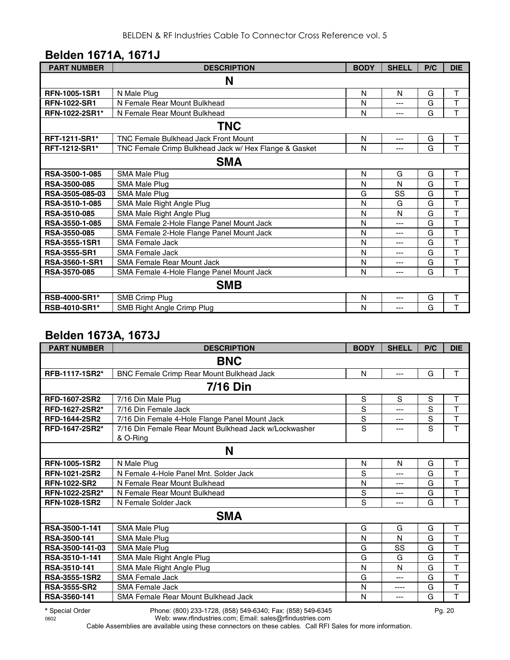## **Belden 1671A, 1671J**

| <b>PART NUMBER</b>    | <b>DESCRIPTION</b>                                    | <b>BODY</b> | <b>SHELL</b> | P/C | <b>DIE</b> |  |  |
|-----------------------|-------------------------------------------------------|-------------|--------------|-----|------------|--|--|
| N                     |                                                       |             |              |     |            |  |  |
| <b>RFN-1005-1SR1</b>  | N Male Plug                                           | N           | N            | G   | т          |  |  |
| <b>RFN-1022-SR1</b>   | N Female Rear Mount Bulkhead                          | N           | ---          | G   | T          |  |  |
| RFN-1022-2SR1*        | N Female Rear Mount Bulkhead                          | N           | ---          | G   | T          |  |  |
|                       | <b>TNC</b>                                            |             |              |     |            |  |  |
| <b>RFT-1211-SR1*</b>  | <b>TNC Female Bulkhead Jack Front Mount</b>           | N           | $---$        | G   | т          |  |  |
| <b>RFT-1212-SR1*</b>  | TNC Female Crimp Bulkhead Jack w/ Hex Flange & Gasket | N           | ---          | G   | T          |  |  |
|                       | <b>SMA</b>                                            |             |              |     |            |  |  |
| RSA-3500-1-085        | SMA Male Plug                                         | N           | G            | G   | T          |  |  |
| <b>RSA-3500-085</b>   | SMA Male Plug                                         | N           | N            | G   | T          |  |  |
| RSA-3505-085-03       | SMA Male Plug                                         | G           | SS           | G   | T          |  |  |
| RSA-3510-1-085        | SMA Male Right Angle Plug                             | N           | G            | G   | T          |  |  |
| <b>RSA-3510-085</b>   | SMA Male Right Angle Plug                             | N           | N            | G   | T          |  |  |
| RSA-3550-1-085        | SMA Female 2-Hole Flange Panel Mount Jack             | N           | ---          | G   | T          |  |  |
| <b>RSA-3550-085</b>   | SMA Female 2-Hole Flange Panel Mount Jack             | N           | ---          | G   | T          |  |  |
| <b>RSA-3555-1SR1</b>  | SMA Female Jack                                       | N           | ---          | G   | T          |  |  |
| <b>RSA-3555-SR1</b>   | <b>SMA Female Jack</b>                                | N           | ---          | G   | T          |  |  |
| <b>RSA-3560-1-SR1</b> | <b>SMA Female Rear Mount Jack</b>                     | N           | ---          | G   | T          |  |  |
| <b>RSA-3570-085</b>   | SMA Female 4-Hole Flange Panel Mount Jack             |             | ---          | G   | T          |  |  |
| <b>SMB</b>            |                                                       |             |              |     |            |  |  |
| RSB-4000-SR1*         | SMB Crimp Plug                                        | N           | ---          | G   | T          |  |  |
| <b>RSB-4010-SR1*</b>  | SMB Right Angle Crimp Plug                            | N           | ---          | G   | T          |  |  |

#### **Belden 1673A, 1673J**

| <b>PART NUMBER</b>    | <b>DESCRIPTION</b>                                    | <b>BODY</b> | <b>SHELL</b> | P/C | <b>DIE</b>   |  |
|-----------------------|-------------------------------------------------------|-------------|--------------|-----|--------------|--|
| <b>BNC</b>            |                                                       |             |              |     |              |  |
| RFB-1117-1SR2*        | BNC Female Crimp Rear Mount Bulkhead Jack             | N           | $---$        | G   | T            |  |
|                       | <b>7/16 Din</b>                                       |             |              |     |              |  |
| <b>RFD-1607-2SR2</b>  | 7/16 Din Male Plug                                    | S           | S            | S   | T            |  |
| RFD-1627-2SR2*        | 7/16 Din Female Jack                                  | S           | ---          | S   | T            |  |
| <b>RFD-1644-2SR2</b>  | 7/16 Din Female 4-Hole Flange Panel Mount Jack        | S           | ---          | S   | $\mathsf T$  |  |
| <b>RFD-1647-2SR2*</b> | 7/16 Din Female Rear Mount Bulkhead Jack w/Lockwasher | S           | ---          | S   | T            |  |
|                       | & O-Ring                                              |             |              |     |              |  |
|                       | N                                                     |             |              |     |              |  |
| <b>RFN-1005-1SR2</b>  | N Male Plug                                           | N           | N            | G   | T            |  |
| <b>RFN-1021-2SR2</b>  | N Female 4-Hole Panel Mnt. Solder Jack                |             | ---          | G   | T            |  |
| <b>RFN-1022-SR2</b>   | N Female Rear Mount Bulkhead                          |             | ---          | G   | T            |  |
| RFN-1022-2SR2*        | N Female Rear Mount Bulkhead                          | S           | ---          | G   | T            |  |
| <b>RFN-1028-1SR2</b>  | N Female Solder Jack                                  | S           | ---          | G   | T            |  |
|                       | <b>SMA</b>                                            |             |              |     |              |  |
| RSA-3500-1-141        | <b>SMA Male Plug</b>                                  | G           | G            | G   | T            |  |
| RSA-3500-141          | SMA Male Plug                                         | N           | N            | G   | $\mathsf{T}$ |  |
| RSA-3500-141-03       | SMA Male Plug                                         | G           | SS           | G   | T            |  |
| RSA-3510-1-141        | SMA Male Right Angle Plug                             | G           | G            | G   | T            |  |
| RSA-3510-141          | SMA Male Right Angle Plug                             | N           | N            | G   | T            |  |
| <b>RSA-3555-1SR2</b>  | <b>SMA Female Jack</b>                                | G           | ---          | G   | T            |  |
| <b>RSA-3555-SR2</b>   | <b>SMA Female Jack</b>                                | N           | ----         | G   | $\mathsf{T}$ |  |
| RSA-3560-141          | SMA Female Rear Mount Bulkhead Jack                   | N           | ---          | G   | T            |  |

**\*** Special Order Phone: (800) 233-1728, (858) 549-6340; Fax: (858) 549-6345 Pg. 20

0602 Web: www.rfindustries.com; Email: sales@rfindustries.com Cable Assemblies are available using these connectors on these cables. Call RFI Sales for more information.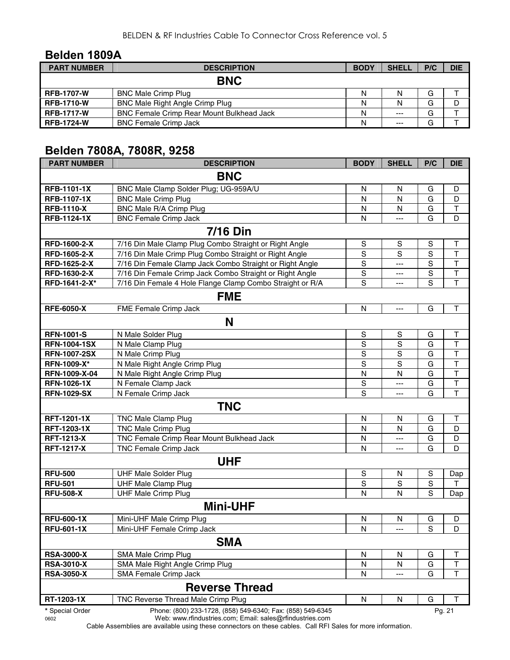#### **Belden 1809A**

| <b>PART NUMBER</b> | <b>DESCRIPTION</b>                               | <b>BODY</b> | <b>SHELL</b> | P/C | <b>DIE</b> |
|--------------------|--------------------------------------------------|-------------|--------------|-----|------------|
|                    | <b>BNC</b>                                       |             |              |     |            |
| <b>RFB-1707-W</b>  | <b>BNC Male Crimp Plug</b>                       | N           | N            | G   |            |
| <b>RFB-1710-W</b>  | BNC Male Right Angle Crimp Plug                  | Ν           | N            | G   | D          |
| <b>RFB-1717-W</b>  | <b>BNC Female Crimp Rear Mount Bulkhead Jack</b> | Ν           | $---$        | G   |            |
| <b>RFB-1724-W</b>  | <b>BNC Female Crimp Jack</b>                     |             | $---$        | G   |            |

# **Belden 7808A, 7808R, 9258**

| <b>PART NUMBER</b>  | <b>DESCRIPTION</b>                                         | <b>BODY</b>             | <b>SHELL</b>   | P/C         | <b>DIE</b>              |  |  |
|---------------------|------------------------------------------------------------|-------------------------|----------------|-------------|-------------------------|--|--|
| <b>BNC</b>          |                                                            |                         |                |             |                         |  |  |
| <b>RFB-1101-1X</b>  | BNC Male Clamp Solder Plug; UG-959A/U                      | N                       | N              | G           | D                       |  |  |
| <b>RFB-1107-1X</b>  | <b>BNC Male Crimp Plug</b>                                 | N                       | N              | G           | D                       |  |  |
| <b>RFB-1110-X</b>   | BNC Male R/A Crimp Plug                                    | N                       | N              | G           | Τ                       |  |  |
| <b>RFB-1124-1X</b>  | <b>BNC Female Crimp Jack</b>                               | N                       | $\overline{a}$ | G           | D                       |  |  |
|                     | <b>7/16 Din</b>                                            |                         |                |             |                         |  |  |
| RFD-1600-2-X        | 7/16 Din Male Clamp Plug Combo Straight or Right Angle     | $\mathbf S$             | S              | S           | $\mathsf T$             |  |  |
| RFD-1605-2-X        | 7/16 Din Male Crimp Plug Combo Straight or Right Angle     | $\mathbf S$             | S              | S           | $\mathsf T$             |  |  |
| RFD-1625-2-X        | 7/16 Din Female Clamp Jack Combo Straight or Right Angle   | $\mathbf S$             | $---$          | S           | $\top$                  |  |  |
| RFD-1630-2-X        | 7/16 Din Female Crimp Jack Combo Straight or Right Angle   | $\overline{s}$          | ---            | S           | $\overline{\mathsf{T}}$ |  |  |
| RFD-1641-2-X*       | 7/16 Din Female 4 Hole Flange Clamp Combo Straight or R/A  | S                       | ---            | S           | T                       |  |  |
|                     | <b>FME</b>                                                 |                         |                |             |                         |  |  |
| <b>RFE-6050-X</b>   | FME Female Crimp Jack                                      | N                       | ---            | G           | $\mathsf T$             |  |  |
|                     | N                                                          |                         |                |             |                         |  |  |
| <b>RFN-1001-S</b>   | N Male Solder Plug                                         | S                       | S              | G           | Т                       |  |  |
| <b>RFN-1004-1SX</b> | N Male Clamp Plug                                          | ${\mathsf S}$           | $\mathbb S$    | G           | $\mathsf T$             |  |  |
| <b>RFN-1007-2SX</b> | N Male Crimp Plug                                          | $\overline{s}$          | ${\mathsf S}$  | G           | $\mathsf T$             |  |  |
| RFN-1009-X*         | N Male Right Angle Crimp Plug                              | S                       | S              | G           | $\mathsf T$             |  |  |
| RFN-1009-X-04       | N Male Right Angle Crimp Plug                              | $\overline{\mathsf{N}}$ | N              | G           | $\mathsf{T}$            |  |  |
| <b>RFN-1026-1X</b>  | N Female Clamp Jack                                        | $\mathbf S$             | ---            | G           | $\overline{\mathsf{T}}$ |  |  |
| <b>RFN-1029-SX</b>  | N Female Crimp Jack                                        | S                       | ---            | G           | T                       |  |  |
|                     | <b>TNC</b>                                                 |                         |                |             |                         |  |  |
| <b>RFT-1201-1X</b>  | <b>TNC Male Clamp Plug</b>                                 | N                       | N              | G           | $\mathsf T$             |  |  |
| <b>RFT-1203-1X</b>  | <b>TNC Male Crimp Plug</b>                                 | N                       | N              | G           | D                       |  |  |
| <b>RFT-1213-X</b>   | TNC Female Crimp Rear Mount Bulkhead Jack                  | N                       | ---            | G           | D                       |  |  |
| <b>RFT-1217-X</b>   | TNC Female Crimp Jack                                      | N                       | ---            | G           | D                       |  |  |
|                     | <b>UHF</b>                                                 |                         |                |             |                         |  |  |
| <b>RFU-500</b>      | <b>UHF Male Solder Plug</b>                                | $\mathbf S$             | N              | S           | Dap                     |  |  |
| <b>RFU-501</b>      | <b>UHF Male Clamp Plug</b>                                 | S                       | S              | $\mathbf S$ | Т                       |  |  |
| <b>RFU-508-X</b>    | <b>UHF Male Crimp Plug</b>                                 | N                       | N              | $\mathbf S$ | Dap                     |  |  |
|                     | <b>Mini-UHF</b>                                            |                         |                |             |                         |  |  |
| <b>RFU-600-1X</b>   | Mini-UHF Male Crimp Plug                                   | N                       | N              | G           | D                       |  |  |
| <b>RFU-601-1X</b>   | Mini-UHF Female Crimp Jack                                 | N                       | ---            | S           | D                       |  |  |
|                     | <b>SMA</b>                                                 |                         |                |             |                         |  |  |
| <b>RSA-3000-X</b>   | SMA Male Crimp Plug                                        | N                       | N              | G           | Т                       |  |  |
| <b>RSA-3010-X</b>   | SMA Male Right Angle Crimp Plug                            | N                       | N              | G           | $\sf T$                 |  |  |
| <b>RSA-3050-X</b>   | SMA Female Crimp Jack                                      | N                       | ---            | G           | $\top$                  |  |  |
|                     | <b>Reverse Thread</b>                                      |                         |                |             |                         |  |  |
| RT-1203-1X          | TNC Reverse Thread Male Crimp Plug                         | N                       | N              | G           | т                       |  |  |
| * Special Order     | Phone: (800) 233-1728, (858) 549-6340; Fax: (858) 549-6345 |                         |                |             | Pg. 21                  |  |  |

0602 Web: www.rfindustries.com; Email: sales@rfindustries.com